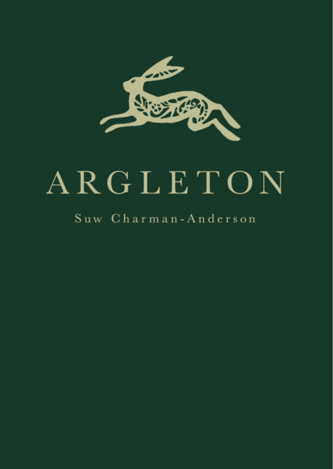

# ARGLETON

#### Suw Charman-Anderson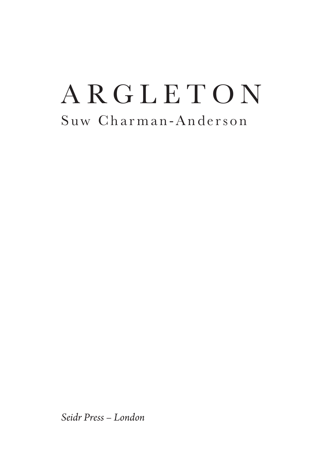## ARGLETON Suw Charman-Anderson

*Seidr Press – London*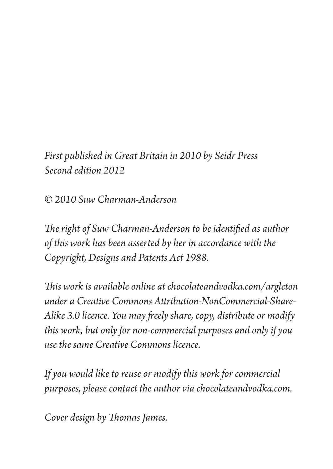*First published in Great Britain in 2010 by Seidr Press Second edition 2012*

*© 2010 Suw Charman-Anderson*

*The right of Suw Charman-Anderson to be identified as author of this work has been asserted by her in accordance with the Copyright, Designs and Patents Act 1988.* 

*This work is available online at chocolateandvodka.com/argleton under a Creative Commons Attribution-NonCommercial-Share-Alike 3.0 licence. You may freely share, copy, distribute or modify this work, but only for non-commercial purposes and only if you use the same Creative Commons licence.* 

*If you would like to reuse or modify this work for commercial purposes, please contact the author via chocolateandvodka.com.*

*Cover design by Thomas James.*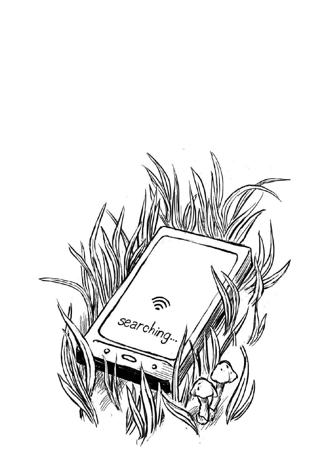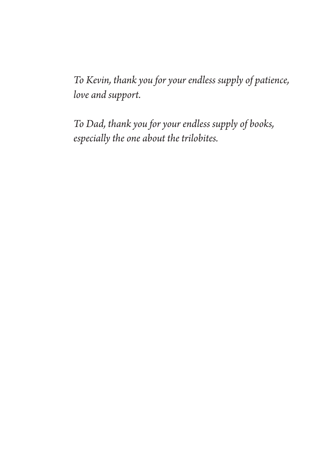*To Kevin, thank you for your endless supply of patience, love and support.*

*To Dad, thank you for your endless supply of books, especially the one about the trilobites.*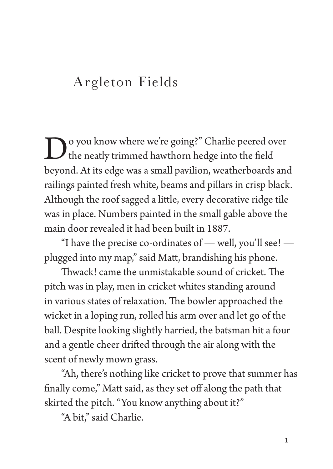### Argleton Fields

Do you know where we're going?" Charlie peered over the neatly trimmed hawthorn hedge into the field beyond. At its edge was a small pavilion, weatherboards and railings painted fresh white, beams and pillars in crisp black. Although the roof sagged a little, every decorative ridge tile was in place. Numbers painted in the small gable above the main door revealed it had been built in 1887.

"I have the precise co-ordinates of — well, you'll see! plugged into my map," said Matt, brandishing his phone.

Thwack! came the unmistakable sound of cricket. The pitch was in play, men in cricket whites standing around in various states of relaxation. The bowler approached the wicket in a loping run, rolled his arm over and let go of the ball. Despite looking slightly harried, the batsman hit a four and a gentle cheer drifted through the air along with the scent of newly mown grass.

"Ah, there's nothing like cricket to prove that summer has finally come," Matt said, as they set off along the path that skirted the pitch. "You know anything about it?"

"A bit," said Charlie.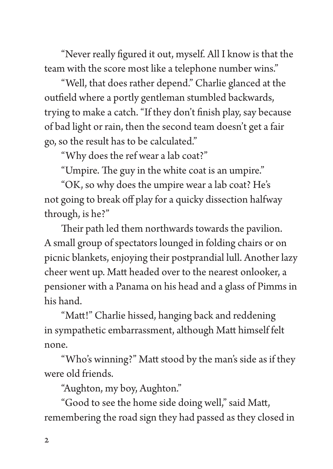"Never really figured it out, myself. All I know is that the team with the score most like a telephone number wins."

"Well, that does rather depend." Charlie glanced at the outfield where a portly gentleman stumbled backwards, trying to make a catch. "If they don't finish play, say because of bad light or rain, then the second team doesn't get a fair go, so the result has to be calculated."

"Why does the ref wear a lab coat?"

"Umpire. The guy in the white coat is an umpire."

"OK, so why does the umpire wear a lab coat? He's not going to break off play for a quicky dissection halfway through, is he?"

Their path led them northwards towards the pavilion. A small group of spectators lounged in folding chairs or on picnic blankets, enjoying their postprandial lull. Another lazy cheer went up. Matt headed over to the nearest onlooker, a pensioner with a Panama on his head and a glass of Pimms in his hand.

"Matt!" Charlie hissed, hanging back and reddening in sympathetic embarrassment, although Matt himself felt none.

"Who's winning?" Matt stood by the man's side as if they were old friends.

"Aughton, my boy, Aughton."

"Good to see the home side doing well," said Matt, remembering the road sign they had passed as they closed in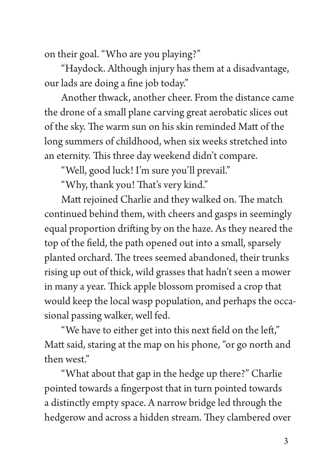on their goal. "Who are you playing?"

"Haydock. Although injury has them at a disadvantage, our lads are doing a fine job today."

Another thwack, another cheer. From the distance came the drone of a small plane carving great aerobatic slices out of the sky. The warm sun on his skin reminded Matt of the long summers of childhood, when six weeks stretched into an eternity. This three day weekend didn't compare.

"Well, good luck! I'm sure you'll prevail."

"Why, thank you! That's very kind."

Matt rejoined Charlie and they walked on. The match continued behind them, with cheers and gasps in seemingly equal proportion drifting by on the haze. As they neared the top of the field, the path opened out into a small, sparsely planted orchard. The trees seemed abandoned, their trunks rising up out of thick, wild grasses that hadn't seen a mower in many a year. Thick apple blossom promised a crop that would keep the local wasp population, and perhaps the occasional passing walker, well fed.

"We have to either get into this next field on the left," Matt said, staring at the map on his phone, "or go north and then west."

"What about that gap in the hedge up there?" Charlie pointed towards a fingerpost that in turn pointed towards a distinctly empty space. A narrow bridge led through the hedgerow and across a hidden stream. They clambered over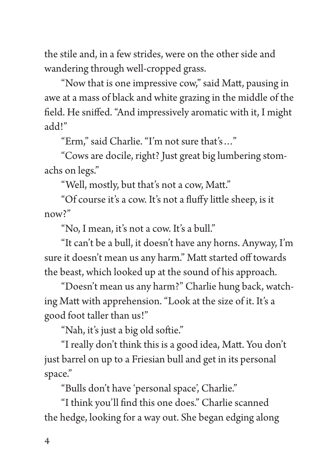the stile and, in a few strides, were on the other side and wandering through well-cropped grass.

"Now that is one impressive cow," said Matt, pausing in awe at a mass of black and white grazing in the middle of the field. He sniffed. "And impressively aromatic with it, I might add!"

"Erm," said Charlie. "I'm not sure that's…"

"Cows are docile, right? Just great big lumbering stomachs on legs."

"Well, mostly, but that's not a cow, Matt."

"Of course it's a cow. It's not a fluffy little sheep, is it now?"

"No, I mean, it's not a cow. It's a bull."

"It can't be a bull, it doesn't have any horns. Anyway, I'm sure it doesn't mean us any harm." Matt started off towards the beast, which looked up at the sound of his approach.

"Doesn't mean us any harm?" Charlie hung back, watching Matt with apprehension. "Look at the size of it. It's a good foot taller than us!"

"Nah, it's just a big old softie."

"I really don't think this is a good idea, Matt. You don't just barrel on up to a Friesian bull and get in its personal space."

"Bulls don't have 'personal space', Charlie."

"I think you'll find this one does." Charlie scanned the hedge, looking for a way out. She began edging along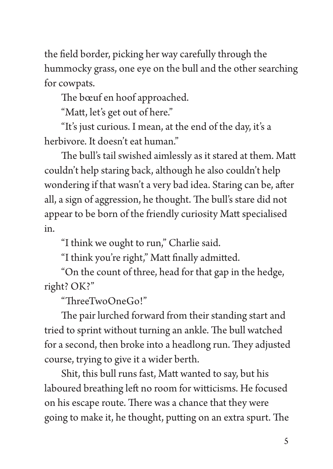the field border, picking her way carefully through the hummocky grass, one eye on the bull and the other searching for cowpats.

The bœuf en hoof approached.

"Matt, let's get out of here."

"It's just curious. I mean, at the end of the day, it's a herbivore. It doesn't eat human."

The bull's tail swished aimlessly as it stared at them. Matt couldn't help staring back, although he also couldn't help wondering if that wasn't a very bad idea. Staring can be, after all, a sign of aggression, he thought. The bull's stare did not appear to be born of the friendly curiosity Matt specialised in.

"I think we ought to run," Charlie said.

"I think you're right," Matt finally admitted.

"On the count of three, head for that gap in the hedge, right? OK?"

"ThreeTwoOneGo!"

The pair lurched forward from their standing start and tried to sprint without turning an ankle. The bull watched for a second, then broke into a headlong run. They adjusted course, trying to give it a wider berth.

Shit, this bull runs fast, Matt wanted to say, but his laboured breathing left no room for witticisms. He focused on his escape route. There was a chance that they were going to make it, he thought, putting on an extra spurt. The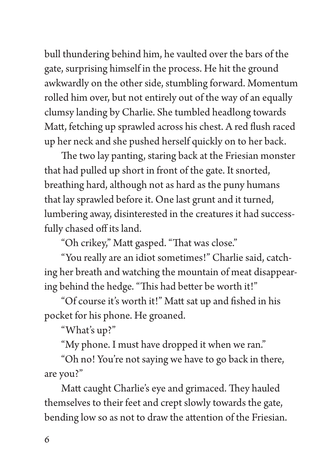bull thundering behind him, he vaulted over the bars of the gate, surprising himself in the process. He hit the ground awkwardly on the other side, stumbling forward. Momentum rolled him over, but not entirely out of the way of an equally clumsy landing by Charlie. She tumbled headlong towards Matt, fetching up sprawled across his chest. A red flush raced up her neck and she pushed herself quickly on to her back.

The two lay panting, staring back at the Friesian monster that had pulled up short in front of the gate. It snorted, breathing hard, although not as hard as the puny humans that lay sprawled before it. One last grunt and it turned, lumbering away, disinterested in the creatures it had successfully chased off its land.

"Oh crikey," Matt gasped. "That was close."

"You really are an idiot sometimes!" Charlie said, catching her breath and watching the mountain of meat disappearing behind the hedge. "This had better be worth it!"

"Of course it's worth it!" Matt sat up and fished in his pocket for his phone. He groaned.

"What's up?"

"My phone. I must have dropped it when we ran."

"Oh no! You're not saying we have to go back in there, are you?"

Matt caught Charlie's eye and grimaced. They hauled themselves to their feet and crept slowly towards the gate, bending low so as not to draw the attention of the Friesian.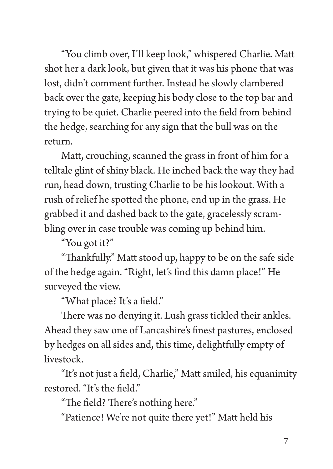"You climb over, I'll keep look," whispered Charlie. Matt shot her a dark look, but given that it was his phone that was lost, didn't comment further. Instead he slowly clambered back over the gate, keeping his body close to the top bar and trying to be quiet. Charlie peered into the field from behind the hedge, searching for any sign that the bull was on the return.

Matt, crouching, scanned the grass in front of him for a telltale glint of shiny black. He inched back the way they had run, head down, trusting Charlie to be his lookout. With a rush of relief he spotted the phone, end up in the grass. He grabbed it and dashed back to the gate, gracelessly scrambling over in case trouble was coming up behind him.

"You got it?"

"Thankfully." Matt stood up, happy to be on the safe side of the hedge again. "Right, let's find this damn place!" He surveyed the view.

"What place? It's a field."

There was no denying it. Lush grass tickled their ankles. Ahead they saw one of Lancashire's finest pastures, enclosed by hedges on all sides and, this time, delightfully empty of livestock.

"It's not just a field, Charlie," Matt smiled, his equanimity restored. "It's the field."

"The field? There's nothing here."

"Patience! We're not quite there yet!" Matt held his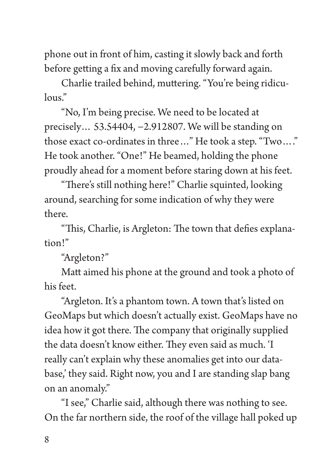phone out in front of him, casting it slowly back and forth before getting a fix and moving carefully forward again.

Charlie trailed behind, muttering. "You're being ridicu $l$ <sub>Ous</sub> $"$ 

"No, I'm being precise. We need to be located at precisely… 53.54404, −2.912807. We will be standing on those exact co-ordinates in three…" He took a step. "Two…." He took another. "One!" He beamed, holding the phone proudly ahead for a moment before staring down at his feet.

"There's still nothing here!" Charlie squinted, looking around, searching for some indication of why they were there.

"This, Charlie, is Argleton: The town that defies explanation!"

"Argleton?"

Matt aimed his phone at the ground and took a photo of his feet.

"Argleton. It's a phantom town. A town that's listed on GeoMaps but which doesn't actually exist. GeoMaps have no idea how it got there. The company that originally supplied the data doesn't know either. They even said as much. 'I really can't explain why these anomalies get into our database,' they said. Right now, you and I are standing slap bang on an anomaly."

"I see," Charlie said, although there was nothing to see. On the far northern side, the roof of the village hall poked up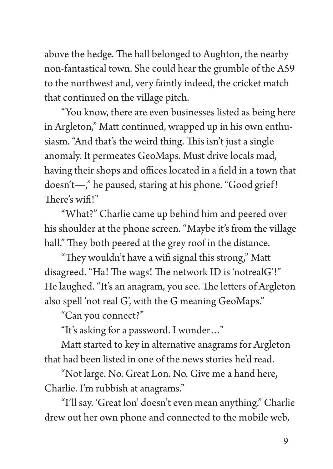above the hedge. The hall belonged to Aughton, the nearby non-fantastical town. She could hear the grumble of the A59 to the northwest and, very faintly indeed, the cricket match that continued on the village pitch.

"You know, there are even businesses listed as being here in Argleton," Matt continued, wrapped up in his own enthusiasm. "And that's the weird thing. This isn't just a single anomaly. It permeates GeoMaps. Must drive locals mad, having their shops and offices located in a field in a town that doesn't—," he paused, staring at his phone. "Good grief! There's wifi!"

"What?" Charlie came up behind him and peered over his shoulder at the phone screen. "Maybe it's from the village hall." They both peered at the grey roof in the distance.

"They wouldn't have a wifi signal this strong," Matt disagreed. "Ha! The wags! The network ID is 'notrealG'!" He laughed. "It's an anagram, you see. The letters of Argleton also spell 'not real G', with the G meaning GeoMaps."

"Can you connect?"

"It's asking for a password. I wonder…"

Matt started to key in alternative anagrams for Argleton that had been listed in one of the news stories he'd read.

"Not large. No. Great Lon. No. Give me a hand here, Charlie. I'm rubbish at anagrams."

"I'll say. 'Great lon' doesn't even mean anything." Charlie drew out her own phone and connected to the mobile web,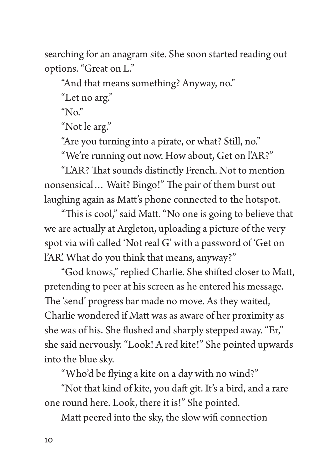searching for an anagram site. She soon started reading out options. "Great on L."

"And that means something? Anyway, no."

"Let no arg."

" $No.$ "

"Not le arg."

"Are you turning into a pirate, or what? Still, no."

"We're running out now. How about, Get on l'AR?"

"L'AR? That sounds distinctly French. Not to mention nonsensical… Wait? Bingo!" The pair of them burst out laughing again as Matt's phone connected to the hotspot.

"This is cool," said Matt. "No one is going to believe that we are actually at Argleton, uploading a picture of the very spot via wifi called 'Not real G' with a password of 'Get on l'AR'. What do you think that means, anyway?"

"God knows," replied Charlie. She shifted closer to Matt, pretending to peer at his screen as he entered his message. The 'send' progress bar made no move. As they waited, Charlie wondered if Matt was as aware of her proximity as she was of his. She flushed and sharply stepped away. "Er," she said nervously. "Look! A red kite!" She pointed upwards into the blue sky.

"Who'd be flying a kite on a day with no wind?"

"Not that kind of kite, you daft git. It's a bird, and a rare one round here. Look, there it is!" She pointed.

Matt peered into the sky, the slow wifi connection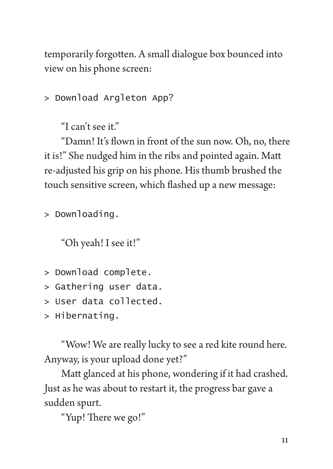temporarily forgotten. A small dialogue box bounced into view on his phone screen:

> Download Argleton App?

"I can't see it."

"Damn! It's flown in front of the sun now. Oh, no, there it is!" She nudged him in the ribs and pointed again. Matt re-adjusted his grip on his phone. His thumb brushed the touch sensitive screen, which flashed up a new message:

> Downloading.

"Oh yeah! I see it!"

- > Download complete.
- > Gathering user data.
- > User data collected.
- > Hibernating.

"Wow! We are really lucky to see a red kite round here. Anyway, is your upload done yet?"

Matt glanced at his phone, wondering if it had crashed. Just as he was about to restart it, the progress bar gave a sudden spurt.

"Yup! There we go!"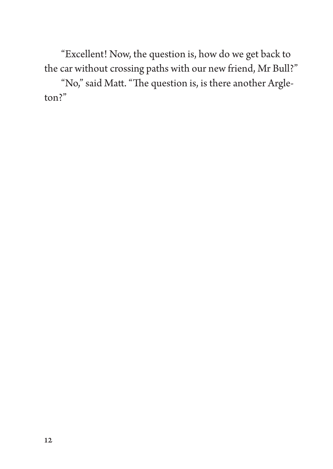"Excellent! Now, the question is, how do we get back to the car without crossing paths with our new friend, Mr Bull?"

"No," said Matt. "The question is, is there another Argleton?"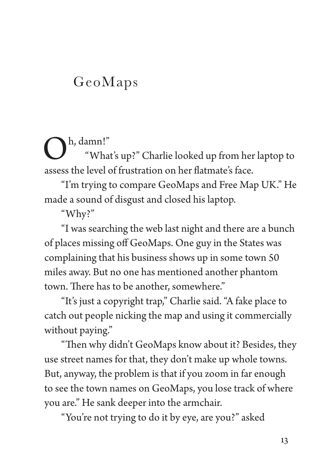### GeoMaps

h, damn!" "What's up?" Charlie looked up from her laptop to assess the level of frustration on her flatmate's face.

"I'm trying to compare GeoMaps and Free Map UK." He made a sound of disgust and closed his laptop.

"Why?"

"I was searching the web last night and there are a bunch of places missing off GeoMaps. One guy in the States was complaining that his business shows up in some town 50 miles away. But no one has mentioned another phantom town. There has to be another, somewhere."

"It's just a copyright trap," Charlie said. "A fake place to catch out people nicking the map and using it commercially without paying."

"Then why didn't GeoMaps know about it? Besides, they use street names for that, they don't make up whole towns. But, anyway, the problem is that if you zoom in far enough to see the town names on GeoMaps, you lose track of where you are." He sank deeper into the armchair.

"You're not trying to do it by eye, are you?" asked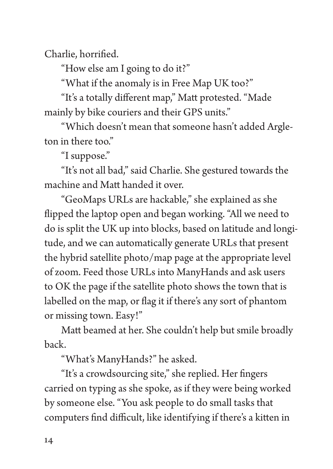Charlie, horrified.

"How else am I going to do it?"

"What if the anomaly is in Free Map UK too?"

"It's a totally different map," Matt protested. "Made mainly by bike couriers and their GPS units."

"Which doesn't mean that someone hasn't added Argleton in there too."

"I suppose."

"It's not all bad," said Charlie. She gestured towards the machine and Matt handed it over.

"GeoMaps URLs are hackable," she explained as she flipped the laptop open and began working. "All we need to do is split the UK up into blocks, based on latitude and longitude, and we can automatically generate URLs that present the hybrid satellite photo/map page at the appropriate level of zoom. Feed those URLs into ManyHands and ask users to OK the page if the satellite photo shows the town that is labelled on the map, or flag it if there's any sort of phantom or missing town. Easy!"

Matt beamed at her. She couldn't help but smile broadly back.

"What's ManyHands?" he asked.

"It's a crowdsourcing site," she replied. Her fingers carried on typing as she spoke, as if they were being worked by someone else. "You ask people to do small tasks that computers find difficult, like identifying if there's a kitten in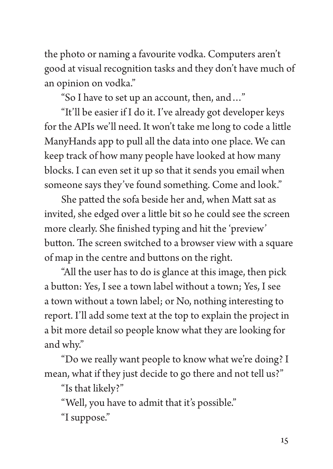the photo or naming a favourite vodka. Computers aren't good at visual recognition tasks and they don't have much of an opinion on vodka."

"So I have to set up an account, then, and…"

"It'll be easier if I do it. I've already got developer keys for the APIs we'll need. It won't take me long to code a little ManyHands app to pull all the data into one place. We can keep track of how many people have looked at how many blocks. I can even set it up so that it sends you email when someone says they've found something. Come and look."

She patted the sofa beside her and, when Matt sat as invited, she edged over a little bit so he could see the screen more clearly. She finished typing and hit the 'preview' button. The screen switched to a browser view with a square of map in the centre and buttons on the right.

"All the user has to do is glance at this image, then pick a button: Yes, I see a town label without a town; Yes, I see a town without a town label; or No, nothing interesting to report. I'll add some text at the top to explain the project in a bit more detail so people know what they are looking for and why."

"Do we really want people to know what we're doing? I mean, what if they just decide to go there and not tell us?"

"Is that likely?"

"Well, you have to admit that it's possible."

"I suppose."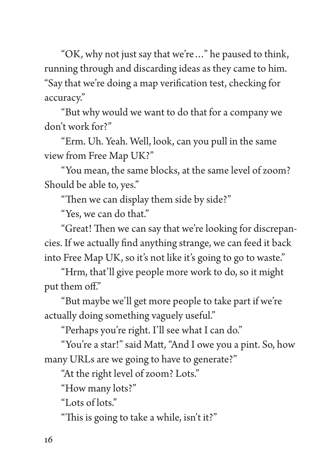"OK, why not just say that we're…" he paused to think, running through and discarding ideas as they came to him. "Say that we're doing a map verification test, checking for accuracy."

"But why would we want to do that for a company we don't work for?"

"Erm. Uh. Yeah. Well, look, can you pull in the same view from Free Map UK?"

"You mean, the same blocks, at the same level of zoom? Should be able to, yes."

"Then we can display them side by side?"

"Yes, we can do that."

"Great! Then we can say that we're looking for discrepancies. If we actually find anything strange, we can feed it back into Free Map UK, so it's not like it's going to go to waste."

"Hrm, that'll give people more work to do, so it might put them off."

"But maybe we'll get more people to take part if we're actually doing something vaguely useful."

"Perhaps you're right. I'll see what I can do."

"You're a star!" said Matt, "And I owe you a pint. So, how many URLs are we going to have to generate?"

"At the right level of zoom? Lots."

"How many lots?"

"Lots of lots."

"This is going to take a while, isn't it?"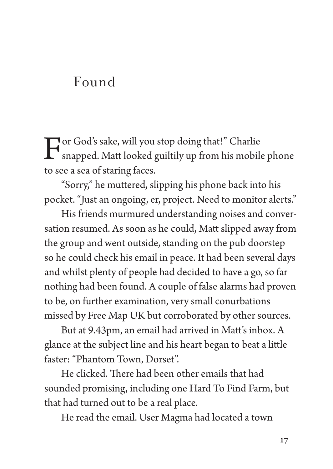#### Found

For God's sake, will you stop doing that!" Charlie<br>snapped. Matt looked guiltily up from his mobile phone<br>to see a second taring frace. to see a sea of staring faces.

"Sorry," he muttered, slipping his phone back into his pocket. "Just an ongoing, er, project. Need to monitor alerts."

His friends murmured understanding noises and conversation resumed. As soon as he could, Matt slipped away from the group and went outside, standing on the pub doorstep so he could check his email in peace. It had been several days and whilst plenty of people had decided to have a go, so far nothing had been found. A couple of false alarms had proven to be, on further examination, very small conurbations missed by Free Map UK but corroborated by other sources.

But at 9.43pm, an email had arrived in Matt's inbox. A glance at the subject line and his heart began to beat a little faster: "Phantom Town, Dorset".

He clicked. There had been other emails that had sounded promising, including one Hard To Find Farm, but that had turned out to be a real place.

He read the email. User Magma had located a town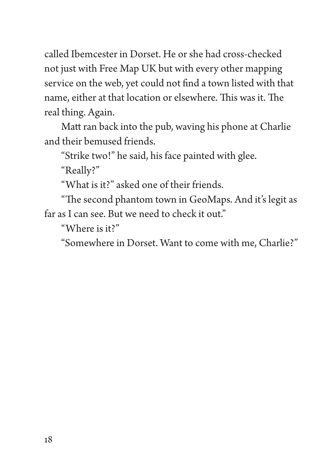called Ibemcester in Dorset. He or she had cross-checked not just with Free Map UK but with every other mapping service on the web, yet could not find a town listed with that name, either at that location or elsewhere. This was it. The real thing. Again.

Matt ran back into the pub, waving his phone at Charlie and their bemused friends.

"Strike two!" he said, his face painted with glee.

"Really?"

"What is it?" asked one of their friends.

"The second phantom town in GeoMaps. And it's legit as far as I can see. But we need to check it out"

"Where is it?"

"Somewhere in Dorset. Want to come with me, Charlie?"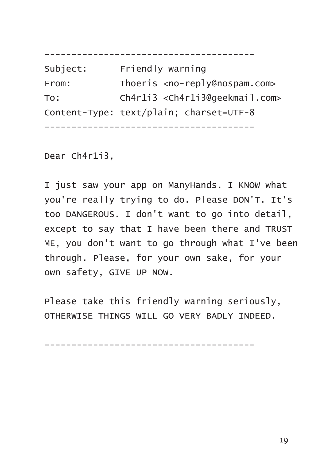---------------------------------------

| Subject: | Friendly warning                                      |
|----------|-------------------------------------------------------|
| From:    | Thoeris $<$ no-reply@nospam.com>                      |
| To:      | ch4r1i3 <ch4r1i3@geekmail.com></ch4r1i3@geekmail.com> |
|          | Content-Type: text/plain; charset=UTF-8               |
|          |                                                       |

Dear Ch4r1i3,

I just saw your app on ManyHands. I KNOW what you're really trying to do. Please DON'T. It's too DANGEROUS. I don't want to go into detail, except to say that I have been there and TRUST ME, you don't want to go through what I've been through. Please, for your own sake, for your own safety, GIVE UP NOW.

Please take this friendly warning seriously, OTHERWISE THINGS WILL GO VERY BADLY INDEED.

---------------------------------------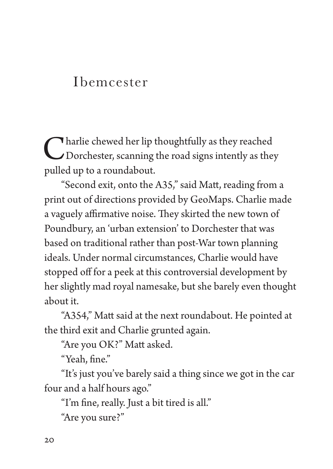#### Ibemcester

Charlie chewed her lip thoughtfully as they reached<br>
Dorchester, scanning the road signs intently as they<br>
mulled up to a gauge debaut pulled up to a roundabout.

"Second exit, onto the A35," said Matt, reading from a print out of directions provided by GeoMaps. Charlie made a vaguely affirmative noise. They skirted the new town of Poundbury, an 'urban extension' to Dorchester that was based on traditional rather than post-War town planning ideals. Under normal circumstances, Charlie would have stopped off for a peek at this controversial development by her slightly mad royal namesake, but she barely even thought about it.

"A354," Matt said at the next roundabout. He pointed at the third exit and Charlie grunted again.

"Are you OK?" Matt asked.

"Yeah, fine."

"It's just you've barely said a thing since we got in the car four and a half hours ago."

"I'm fine, really. Just a bit tired is all." "Are you sure?"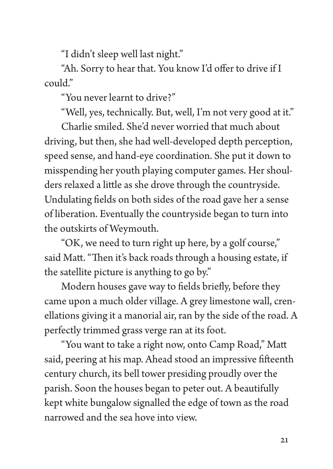"I didn't sleep well last night."

"Ah. Sorry to hear that. You know I'd offer to drive if I could"

"You never learnt to drive?"

"Well, yes, technically. But, well, I'm not very good at it."

Charlie smiled. She'd never worried that much about driving, but then, she had well-developed depth perception, speed sense, and hand-eye coordination. She put it down to misspending her youth playing computer games. Her shoulders relaxed a little as she drove through the countryside. Undulating fields on both sides of the road gave her a sense of liberation. Eventually the countryside began to turn into the outskirts of Weymouth.

"OK, we need to turn right up here, by a golf course," said Matt. "Then it's back roads through a housing estate, if the satellite picture is anything to go by."

Modern houses gave way to fields briefly, before they came upon a much older village. A grey limestone wall, crenellations giving it a manorial air, ran by the side of the road. A perfectly trimmed grass verge ran at its foot.

"You want to take a right now, onto Camp Road," Matt said, peering at his map. Ahead stood an impressive fifteenth century church, its bell tower presiding proudly over the parish. Soon the houses began to peter out. A beautifully kept white bungalow signalled the edge of town as the road narrowed and the sea hove into view.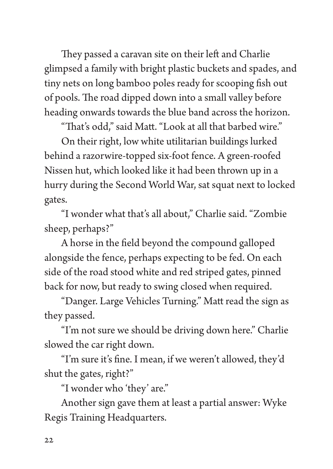They passed a caravan site on their left and Charlie glimpsed a family with bright plastic buckets and spades, and tiny nets on long bamboo poles ready for scooping fish out of pools. The road dipped down into a small valley before heading onwards towards the blue band across the horizon.

"That's odd," said Matt. "Look at all that barbed wire."

On their right, low white utilitarian buildings lurked behind a razorwire-topped six-foot fence. A green-roofed Nissen hut, which looked like it had been thrown up in a hurry during the Second World War, sat squat next to locked gates.

"I wonder what that's all about," Charlie said. "Zombie sheep, perhaps?"

A horse in the field beyond the compound galloped alongside the fence, perhaps expecting to be fed. On each side of the road stood white and red striped gates, pinned back for now, but ready to swing closed when required.

"Danger. Large Vehicles Turning." Matt read the sign as they passed.

"I'm not sure we should be driving down here." Charlie slowed the car right down.

"I'm sure it's fine. I mean, if we weren't allowed, they'd shut the gates, right?"

"I wonder who 'they' are."

Another sign gave them at least a partial answer: Wyke Regis Training Headquarters.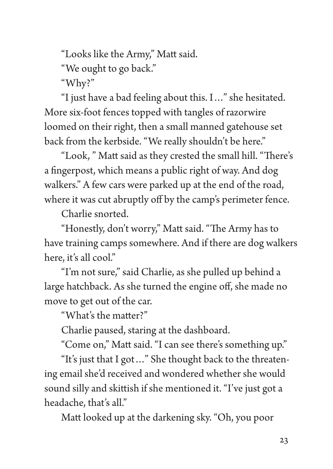"Looks like the Army," Matt said.

"We ought to go back."

"Why?"

"I just have a bad feeling about this. I…" she hesitated. More six-foot fences topped with tangles of razorwire loomed on their right, then a small manned gatehouse set back from the kerbside. "We really shouldn't be here."

"Look, " Matt said as they crested the small hill. "There's a fingerpost, which means a public right of way. And dog walkers." A few cars were parked up at the end of the road, where it was cut abruptly off by the camp's perimeter fence.

Charlie snorted.

"Honestly, don't worry," Matt said. "The Army has to have training camps somewhere. And if there are dog walkers here, it's all cool."

"I'm not sure," said Charlie, as she pulled up behind a large hatchback. As she turned the engine off, she made no move to get out of the car.

"What's the matter?"

Charlie paused, staring at the dashboard.

"Come on," Matt said. "I can see there's something up."

"It's just that I got…" She thought back to the threatening email she'd received and wondered whether she would sound silly and skittish if she mentioned it. "I've just got a headache, that's all."

Matt looked up at the darkening sky. "Oh, you poor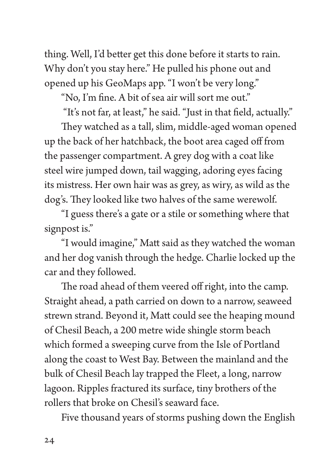thing. Well, I'd better get this done before it starts to rain. Why don't you stay here." He pulled his phone out and opened up his GeoMaps app. "I won't be very long."

"No, I'm fine. A bit of sea air will sort me out."

"It's not far, at least," he said. "Just in that field, actually."

They watched as a tall, slim, middle-aged woman opened up the back of her hatchback, the boot area caged off from the passenger compartment. A grey dog with a coat like steel wire jumped down, tail wagging, adoring eyes facing its mistress. Her own hair was as grey, as wiry, as wild as the dog's. They looked like two halves of the same werewolf.

"I guess there's a gate or a stile or something where that signpost is."

"I would imagine," Matt said as they watched the woman and her dog vanish through the hedge. Charlie locked up the car and they followed.

The road ahead of them veered off right, into the camp. Straight ahead, a path carried on down to a narrow, seaweed strewn strand. Beyond it, Matt could see the heaping mound of Chesil Beach, a 200 metre wide shingle storm beach which formed a sweeping curve from the Isle of Portland along the coast to West Bay. Between the mainland and the bulk of Chesil Beach lay trapped the Fleet, a long, narrow lagoon. Ripples fractured its surface, tiny brothers of the rollers that broke on Chesil's seaward face.

Five thousand years of storms pushing down the English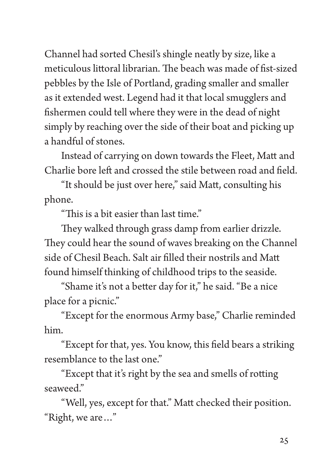Channel had sorted Chesil's shingle neatly by size, like a meticulous littoral librarian. The beach was made of fist-sized pebbles by the Isle of Portland, grading smaller and smaller as it extended west. Legend had it that local smugglers and fishermen could tell where they were in the dead of night simply by reaching over the side of their boat and picking up a handful of stones.

Instead of carrying on down towards the Fleet, Matt and Charlie bore left and crossed the stile between road and field.

"It should be just over here," said Matt, consulting his phone.

"This is a bit easier than last time."

They walked through grass damp from earlier drizzle. They could hear the sound of waves breaking on the Channel side of Chesil Beach. Salt air filled their nostrils and Matt found himself thinking of childhood trips to the seaside.

"Shame it's not a better day for it," he said. "Be a nice place for a picnic."

"Except for the enormous Army base," Charlie reminded him.

"Except for that, yes. You know, this field bears a striking resemblance to the last one."

"Except that it's right by the sea and smells of rotting seaweed."

"Well, yes, except for that." Matt checked their position. "Right, we are…"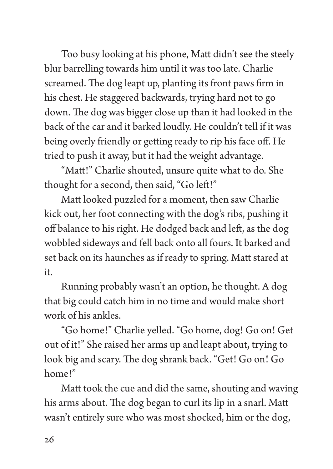Too busy looking at his phone, Matt didn't see the steely blur barrelling towards him until it was too late. Charlie screamed. The dog leapt up, planting its front paws firm in his chest. He staggered backwards, trying hard not to go down. The dog was bigger close up than it had looked in the back of the car and it barked loudly. He couldn't tell if it was being overly friendly or getting ready to rip his face off. He tried to push it away, but it had the weight advantage.

"Matt!" Charlie shouted, unsure quite what to do. She thought for a second, then said, "Go left!"

Matt looked puzzled for a moment, then saw Charlie kick out, her foot connecting with the dog's ribs, pushing it off balance to his right. He dodged back and left, as the dog wobbled sideways and fell back onto all fours. It barked and set back on its haunches as if ready to spring. Matt stared at it.

Running probably wasn't an option, he thought. A dog that big could catch him in no time and would make short work of his ankles.

"Go home!" Charlie yelled. "Go home, dog! Go on! Get out of it!" She raised her arms up and leapt about, trying to look big and scary. The dog shrank back. "Get! Go on! Go home!"

Matt took the cue and did the same, shouting and waving his arms about. The dog began to curl its lip in a snarl. Matt wasn't entirely sure who was most shocked, him or the dog,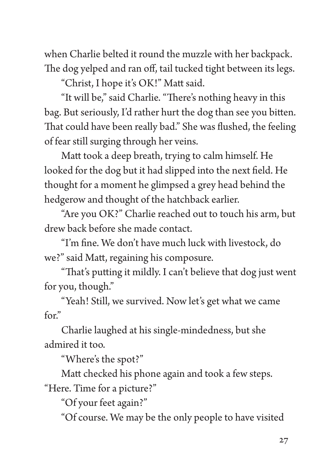when Charlie belted it round the muzzle with her backpack. The dog yelped and ran off, tail tucked tight between its legs.

"Christ, I hope it's OK!" Matt said.

"It will be," said Charlie. "There's nothing heavy in this bag. But seriously, I'd rather hurt the dog than see you bitten. That could have been really bad." She was flushed, the feeling of fear still surging through her veins.

Matt took a deep breath, trying to calm himself. He looked for the dog but it had slipped into the next field. He thought for a moment he glimpsed a grey head behind the hedgerow and thought of the hatchback earlier.

"Are you OK?" Charlie reached out to touch his arm, but drew back before she made contact.

"I'm fine. We don't have much luck with livestock, do we?" said Matt, regaining his composure.

"That's putting it mildly. I can't believe that dog just went for you, though."

"Yeah! Still, we survived. Now let's get what we came for."

Charlie laughed at his single-mindedness, but she admired it too.

"Where's the spot?"

Matt checked his phone again and took a few steps. "Here. Time for a picture?"

"Of your feet again?"

"Of course. We may be the only people to have visited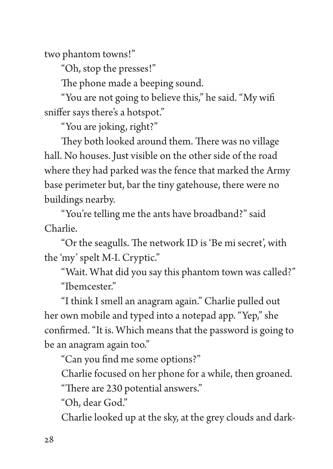two phantom towns!"

"Oh, stop the presses!"

The phone made a beeping sound.

"You are not going to believe this," he said. "My wifi sniffer says there's a hotspot."

"You are joking, right?"

They both looked around them. There was no village hall. No houses. Just visible on the other side of the road where they had parked was the fence that marked the Army base perimeter but, bar the tiny gatehouse, there were no buildings nearby.

"You're telling me the ants have broadband?" said Charlie.

"Or the seagulls. The network ID is 'Be mi secret', with the 'my' spelt M-I. Cryptic."

"Wait. What did you say this phantom town was called?" "Ibemcester."

"I think I smell an anagram again." Charlie pulled out her own mobile and typed into a notepad app. "Yep," she confirmed. "It is. Which means that the password is going to be an anagram again too."

"Can you find me some options?"

Charlie focused on her phone for a while, then groaned.

"There are 230 potential answers."

"Oh, dear God."

Charlie looked up at the sky, at the grey clouds and dark-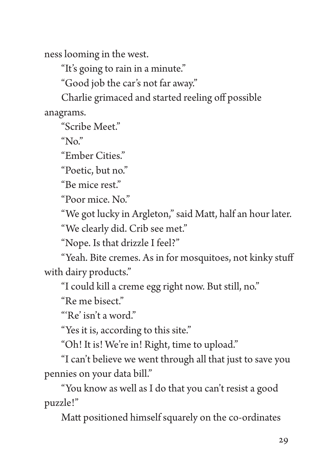ness looming in the west.

"It's going to rain in a minute."

"Good job the car's not far away."

Charlie grimaced and started reeling off possible anagrams.

"Scribe Meet"

" $No.$ "

"Ember Cities."

"Poetic, but no."

"Be mice rest."

"Poor mice. No."

"We got lucky in Argleton," said Matt, half an hour later.

"We clearly did. Crib see met."

"Nope. Is that drizzle I feel?"

"Yeah. Bite cremes. As in for mosquitoes, not kinky stuff with dairy products."

"I could kill a creme egg right now. But still, no."

"Re me bisect."

"'Re' isn't a word."

"Yes it is, according to this site."

"Oh! It is! We're in! Right, time to upload."

"I can't believe we went through all that just to save you pennies on your data bill."

"You know as well as I do that you can't resist a good puzzle!"

Matt positioned himself squarely on the co-ordinates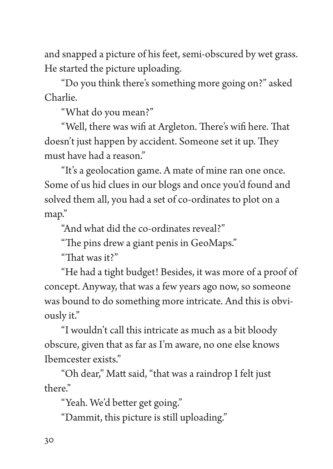and snapped a picture of his feet, semi-obscured by wet grass. He started the picture uploading.

"Do you think there's something more going on?" asked Charlie.

"What do you mean?"

"Well, there was wifi at Argleton. There's wifi here. That doesn't just happen by accident. Someone set it up. They must have had a reason."

"It's a geolocation game. A mate of mine ran one once. Some of us hid clues in our blogs and once you'd found and solved them all, you had a set of co-ordinates to plot on a map."

"And what did the co-ordinates reveal?"

"The pins drew a giant penis in GeoMaps."

"That was it?"

"He had a tight budget! Besides, it was more of a proof of concept. Anyway, that was a few years ago now, so someone was bound to do something more intricate. And this is obviously it."

"I wouldn't call this intricate as much as a bit bloody obscure, given that as far as I'm aware, no one else knows Ibemcester exists."

"Oh dear," Matt said, "that was a raindrop I felt just there."

"Yeah. We'd better get going."

"Dammit, this picture is still uploading."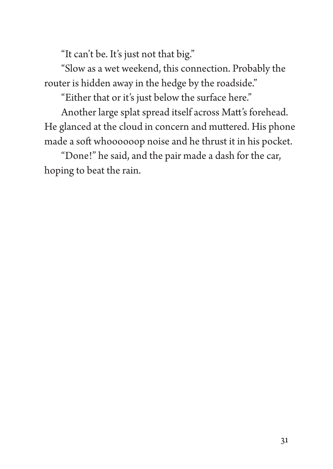"It can't be. It's just not that big."

"Slow as a wet weekend, this connection. Probably the router is hidden away in the hedge by the roadside."

"Either that or it's just below the surface here."

Another large splat spread itself across Matt's forehead. He glanced at the cloud in concern and muttered. His phone made a soft whoooooop noise and he thrust it in his pocket.

"Done!" he said, and the pair made a dash for the car, hoping to beat the rain.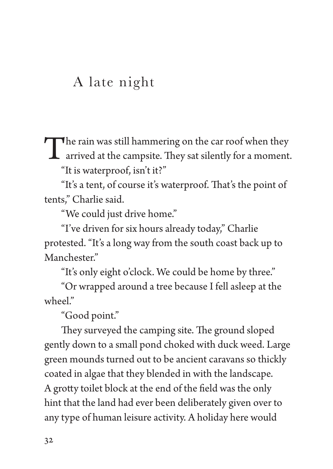## A late night

The rain was still hammering on the car roof when they arrived at the campsite. They sat silently for a moment. "It is waterproof, isn't it?"

"It's a tent, of course it's waterproof. That's the point of tents," Charlie said.

"We could just drive home."

"I've driven for six hours already today," Charlie protested. "It's a long way from the south coast back up to Manchester"

"It's only eight o'clock. We could be home by three."

"Or wrapped around a tree because I fell asleep at the wheel"

"Good point."

They surveyed the camping site. The ground sloped gently down to a small pond choked with duck weed. Large green mounds turned out to be ancient caravans so thickly coated in algae that they blended in with the landscape. A grotty toilet block at the end of the field was the only hint that the land had ever been deliberately given over to any type of human leisure activity. A holiday here would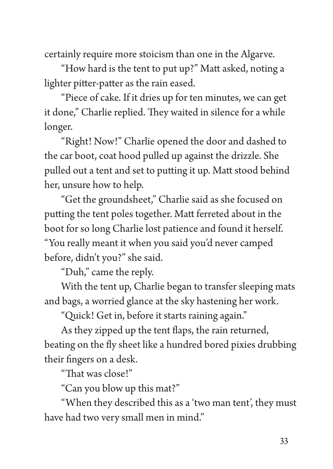certainly require more stoicism than one in the Algarve.

"How hard is the tent to put up?" Matt asked, noting a lighter pitter-patter as the rain eased.

"Piece of cake. If it dries up for ten minutes, we can get it done," Charlie replied. They waited in silence for a while longer.

"Right! Now!" Charlie opened the door and dashed to the car boot, coat hood pulled up against the drizzle. She pulled out a tent and set to putting it up. Matt stood behind her, unsure how to help.

"Get the groundsheet," Charlie said as she focused on putting the tent poles together. Matt ferreted about in the boot for so long Charlie lost patience and found it herself. "You really meant it when you said you'd never camped before, didn't you?" she said.

"Duh," came the reply.

With the tent up, Charlie began to transfer sleeping mats and bags, a worried glance at the sky hastening her work.

"Quick! Get in, before it starts raining again."

As they zipped up the tent flaps, the rain returned, beating on the fly sheet like a hundred bored pixies drubbing their fingers on a desk.

"That was close!"

"Can you blow up this mat?"

"When they described this as a 'two man tent', they must have had two very small men in mind."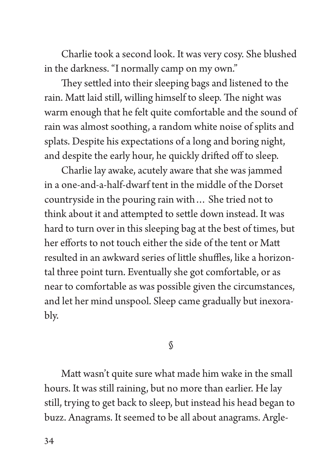Charlie took a second look. It was very cosy. She blushed in the darkness. "I normally camp on my own."

They settled into their sleeping bags and listened to the rain. Matt laid still, willing himself to sleep. The night was warm enough that he felt quite comfortable and the sound of rain was almost soothing, a random white noise of splits and splats. Despite his expectations of a long and boring night, and despite the early hour, he quickly drifted off to sleep.

Charlie lay awake, acutely aware that she was jammed in a one-and-a-half-dwarf tent in the middle of the Dorset countryside in the pouring rain with… She tried not to think about it and attempted to settle down instead. It was hard to turn over in this sleeping bag at the best of times, but her efforts to not touch either the side of the tent or Matt resulted in an awkward series of little shuffles, like a horizontal three point turn. Eventually she got comfortable, or as near to comfortable as was possible given the circumstances, and let her mind unspool. Sleep came gradually but inexorably.

§

Matt wasn't quite sure what made him wake in the small hours. It was still raining, but no more than earlier. He lay still, trying to get back to sleep, but instead his head began to buzz. Anagrams. It seemed to be all about anagrams. Argle-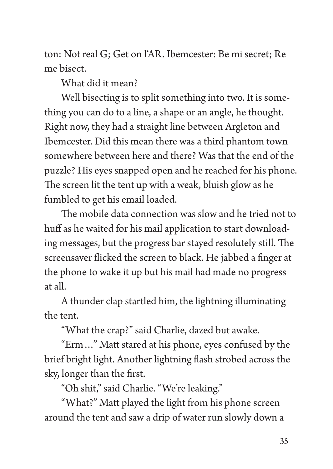ton: Not real G; Get on l'AR. Ibemcester: Be mi secret; Re me bisect.

What did it mean?

Well bisecting is to split something into two. It is something you can do to a line, a shape or an angle, he thought. Right now, they had a straight line between Argleton and Ibemcester. Did this mean there was a third phantom town somewhere between here and there? Was that the end of the puzzle? His eyes snapped open and he reached for his phone. The screen lit the tent up with a weak, bluish glow as he fumbled to get his email loaded.

The mobile data connection was slow and he tried not to huff as he waited for his mail application to start downloading messages, but the progress bar stayed resolutely still. The screensaver flicked the screen to black. He jabbed a finger at the phone to wake it up but his mail had made no progress at all.

A thunder clap startled him, the lightning illuminating the tent.

"What the crap?" said Charlie, dazed but awake.

"Erm…" Matt stared at his phone, eyes confused by the brief bright light. Another lightning flash strobed across the sky, longer than the first.

"Oh shit," said Charlie. "We're leaking."

"What?" Matt played the light from his phone screen around the tent and saw a drip of water run slowly down a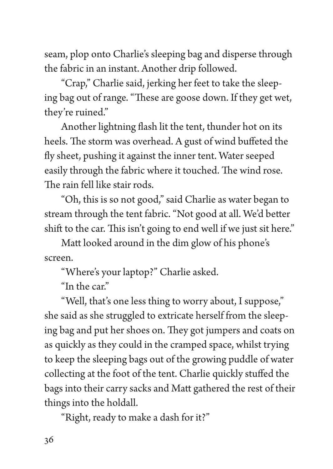seam, plop onto Charlie's sleeping bag and disperse through the fabric in an instant. Another drip followed.

"Crap," Charlie said, jerking her feet to take the sleeping bag out of range. "These are goose down. If they get wet, they're ruined."

Another lightning flash lit the tent, thunder hot on its heels. The storm was overhead. A gust of wind buffeted the fly sheet, pushing it against the inner tent. Water seeped easily through the fabric where it touched. The wind rose. The rain fell like stair rods.

"Oh, this is so not good," said Charlie as water began to stream through the tent fabric. "Not good at all. We'd better shift to the car. This isn't going to end well if we just sit here."

Matt looked around in the dim glow of his phone's screen.

"Where's your laptop?" Charlie asked.

"In the car"

"Well, that's one less thing to worry about, I suppose," she said as she struggled to extricate herself from the sleeping bag and put her shoes on. They got jumpers and coats on as quickly as they could in the cramped space, whilst trying to keep the sleeping bags out of the growing puddle of water collecting at the foot of the tent. Charlie quickly stuffed the bags into their carry sacks and Matt gathered the rest of their things into the holdall.

"Right, ready to make a dash for it?"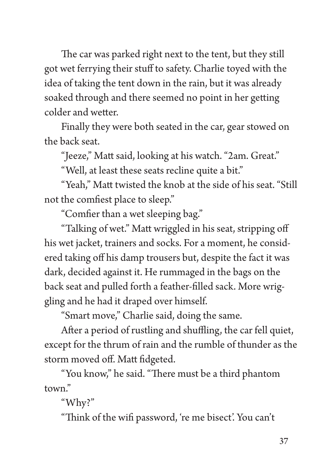The car was parked right next to the tent, but they still got wet ferrying their stuff to safety. Charlie toyed with the idea of taking the tent down in the rain, but it was already soaked through and there seemed no point in her getting colder and wetter.

Finally they were both seated in the car, gear stowed on the back seat.

"Jeeze," Matt said, looking at his watch. "2am. Great."

"Well, at least these seats recline quite a bit."

"Yeah," Matt twisted the knob at the side of his seat. "Still not the comfiest place to sleep."

"Comfier than a wet sleeping bag."

"Talking of wet." Matt wriggled in his seat, stripping off his wet jacket, trainers and socks. For a moment, he considered taking off his damp trousers but, despite the fact it was dark, decided against it. He rummaged in the bags on the back seat and pulled forth a feather-filled sack. More wriggling and he had it draped over himself.

"Smart move," Charlie said, doing the same.

After a period of rustling and shuffling, the car fell quiet, except for the thrum of rain and the rumble of thunder as the storm moved off. Matt fidgeted.

"You know," he said. "There must be a third phantom town."

"Why?"

"Think of the wifi password, 're me bisect'. You can't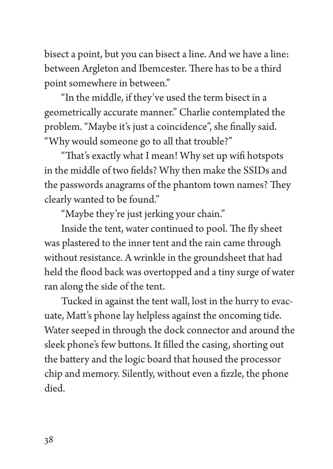bisect a point, but you can bisect a line. And we have a line: between Argleton and Ibemcester. There has to be a third point somewhere in between."

"In the middle, if they've used the term bisect in a geometrically accurate manner." Charlie contemplated the problem. "Maybe it's just a coincidence", she finally said. "Why would someone go to all that trouble?"

"That's exactly what I mean! Why set up wifi hotspots in the middle of two fields? Why then make the SSIDs and the passwords anagrams of the phantom town names? They clearly wanted to be found."

"Maybe they're just jerking your chain."

Inside the tent, water continued to pool. The fly sheet was plastered to the inner tent and the rain came through without resistance. A wrinkle in the groundsheet that had held the flood back was overtopped and a tiny surge of water ran along the side of the tent.

Tucked in against the tent wall, lost in the hurry to evacuate, Matt's phone lay helpless against the oncoming tide. Water seeped in through the dock connector and around the sleek phone's few buttons. It filled the casing, shorting out the battery and the logic board that housed the processor chip and memory. Silently, without even a fizzle, the phone died.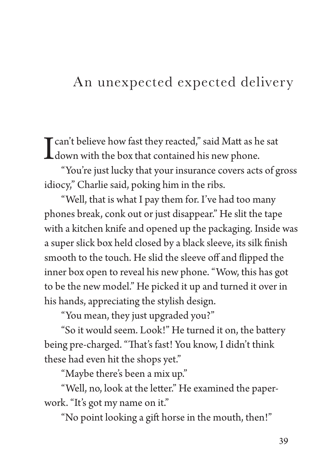## An unexpected expected delivery

 $\prod_{\text{down with the box that contained his new phone.}}$ 

"You're just lucky that your insurance covers acts of gross idiocy," Charlie said, poking him in the ribs.

"Well, that is what I pay them for. I've had too many phones break, conk out or just disappear." He slit the tape with a kitchen knife and opened up the packaging. Inside was a super slick box held closed by a black sleeve, its silk finish smooth to the touch. He slid the sleeve off and flipped the inner box open to reveal his new phone. "Wow, this has got to be the new model." He picked it up and turned it over in his hands, appreciating the stylish design.

"You mean, they just upgraded you?"

"So it would seem. Look!" He turned it on, the battery being pre-charged. "That's fast! You know, I didn't think these had even hit the shops yet."

"Maybe there's been a mix up."

"Well, no, look at the letter." He examined the paperwork. "It's got my name on it."

"No point looking a gift horse in the mouth, then!"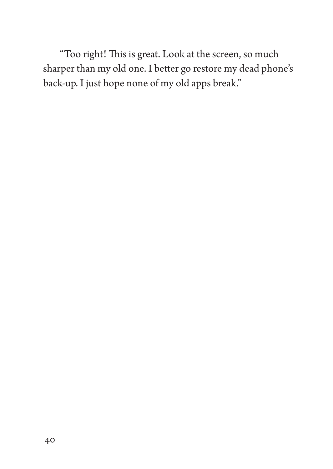"Too right! This is great. Look at the screen, so much sharper than my old one. I better go restore my dead phone's back-up. I just hope none of my old apps break."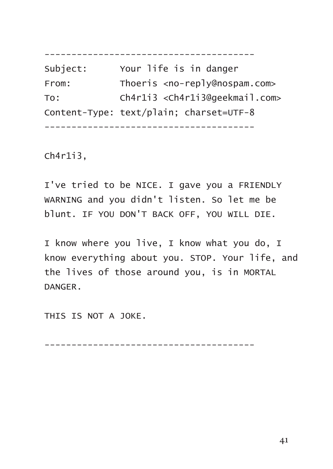---------------------------------------

| Subject: | Your life is in danger                                |
|----------|-------------------------------------------------------|
| From:    | Thoeris <no-reply@nospam.com></no-reply@nospam.com>   |
| TO:      | ch4r1i3 <ch4r1i3@geekmail.com></ch4r1i3@geekmail.com> |
|          | Content-Type: text/plain; charset=UTF-8               |
|          |                                                       |

Ch4r1i3,

I've tried to be NICE. I gave you a FRIENDLY WARNING and you didn't listen. So let me be blunt. IF YOU DON'T BACK OFF, YOU WILL DIE.

I know where you live, I know what you do, I know everything about you. STOP. Your life, and the lives of those around you, is in MORTAL **DANGER** 

THIS IS NOT A JOKE.

---------------------------------------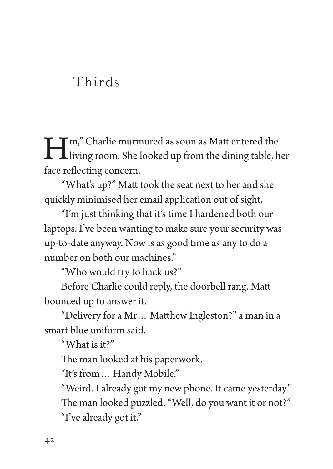## Thirds

Im," Charlie murmured as soon as Matt entered the living room. She looked up from the dining table, her face reflecting concern.

"What's up?" Matt took the seat next to her and she quickly minimised her email application out of sight.

"I'm just thinking that it's time I hardened both our laptops. I've been wanting to make sure your security was up-to-date anyway. Now is as good time as any to do a number on both our machines."

"Who would try to hack us?"

Before Charlie could reply, the doorbell rang. Matt bounced up to answer it.

"Delivery for a Mr… Matthew Ingleston?" a man in a smart blue uniform said.

"What is it?"

The man looked at his paperwork.

"It's from… Handy Mobile."

"Weird. I already got my new phone. It came yesterday." The man looked puzzled. "Well, do you want it or not?" "I've already got it."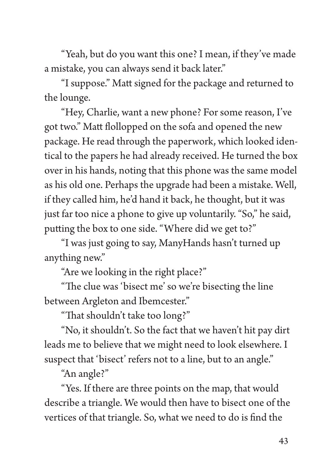"Yeah, but do you want this one? I mean, if they've made a mistake, you can always send it back later."

"I suppose." Matt signed for the package and returned to the lounge.

"Hey, Charlie, want a new phone? For some reason, I've got two." Matt flollopped on the sofa and opened the new package. He read through the paperwork, which looked identical to the papers he had already received. He turned the box over in his hands, noting that this phone was the same model as his old one. Perhaps the upgrade had been a mistake. Well, if they called him, he'd hand it back, he thought, but it was just far too nice a phone to give up voluntarily. "So," he said, putting the box to one side. "Where did we get to?"

"I was just going to say, ManyHands hasn't turned up anything new."

"Are we looking in the right place?"

"The clue was 'bisect me' so we're bisecting the line between Argleton and Ibemcester."

"That shouldn't take too long?"

"No, it shouldn't. So the fact that we haven't hit pay dirt leads me to believe that we might need to look elsewhere. I suspect that 'bisect' refers not to a line, but to an angle."

"An angle?"

"Yes. If there are three points on the map, that would describe a triangle. We would then have to bisect one of the vertices of that triangle. So, what we need to do is find the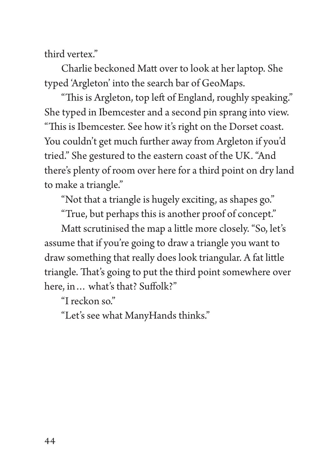third vertex."

Charlie beckoned Matt over to look at her laptop. She typed 'Argleton' into the search bar of GeoMaps.

"This is Argleton, top left of England, roughly speaking." She typed in Ibemcester and a second pin sprang into view. "This is Ibemcester. See how it's right on the Dorset coast. You couldn't get much further away from Argleton if you'd tried." She gestured to the eastern coast of the UK. "And there's plenty of room over here for a third point on dry land to make a triangle."

"Not that a triangle is hugely exciting, as shapes go."

"True, but perhaps this is another proof of concept."

Matt scrutinised the map a little more closely. "So, let's assume that if you're going to draw a triangle you want to draw something that really does look triangular. A fat little triangle. That's going to put the third point somewhere over here, in… what's that? Suffolk?"

"I reckon so."

"Let's see what ManyHands thinks."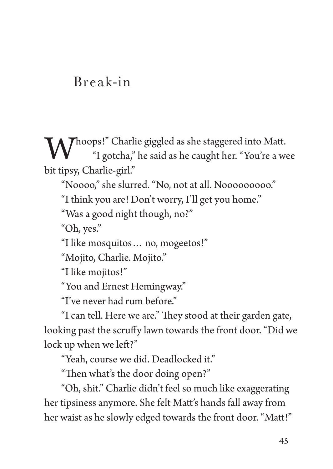#### Break-in

**M** / Thoops!" Charlie giggled as she staggered into Matt. "I gotcha," he said as he caught her. "You're a wee bit tipsy, Charlie-girl."

"Noooo," she slurred. "No, not at all. Nooooooooo."

"I think you are! Don't worry, I'll get you home."

"Was a good night though, no?"

"Oh, yes."

"I like mosquitos… no, mogeetos!"

"Mojito, Charlie. Mojito."

"I like mojitos!"

"You and Ernest Hemingway."

"I've never had rum before."

"I can tell. Here we are." They stood at their garden gate, looking past the scruffy lawn towards the front door. "Did we lock up when we left?"

"Yeah, course we did. Deadlocked it."

"Then what's the door doing open?"

"Oh, shit." Charlie didn't feel so much like exaggerating her tipsiness anymore. She felt Matt's hands fall away from her waist as he slowly edged towards the front door. "Matt!"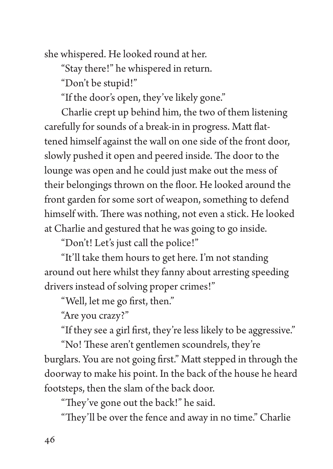she whispered. He looked round at her.

"Stay there!" he whispered in return.

"Don't be stupid!"

"If the door's open, they've likely gone."

Charlie crept up behind him, the two of them listening carefully for sounds of a break-in in progress. Matt flattened himself against the wall on one side of the front door, slowly pushed it open and peered inside. The door to the lounge was open and he could just make out the mess of their belongings thrown on the floor. He looked around the front garden for some sort of weapon, something to defend himself with. There was nothing, not even a stick. He looked at Charlie and gestured that he was going to go inside.

"Don't! Let's just call the police!"

"It'll take them hours to get here. I'm not standing around out here whilst they fanny about arresting speeding drivers instead of solving proper crimes!"

"Well, let me go first, then."

"Are you crazy?"

"If they see a girl first, they're less likely to be aggressive."

"No! These aren't gentlemen scoundrels, they're burglars. You are not going first." Matt stepped in through the doorway to make his point. In the back of the house he heard footsteps, then the slam of the back door.

"They've gone out the back!" he said.

"They'll be over the fence and away in no time." Charlie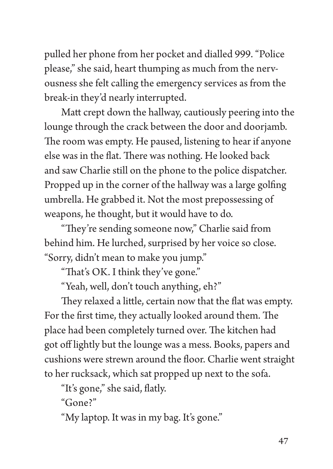pulled her phone from her pocket and dialled 999. "Police please," she said, heart thumping as much from the nervousness she felt calling the emergency services as from the break-in they'd nearly interrupted.

Matt crept down the hallway, cautiously peering into the lounge through the crack between the door and doorjamb. The room was empty. He paused, listening to hear if anyone else was in the flat. There was nothing. He looked back and saw Charlie still on the phone to the police dispatcher. Propped up in the corner of the hallway was a large golfing umbrella. He grabbed it. Not the most prepossessing of weapons, he thought, but it would have to do.

"They're sending someone now," Charlie said from behind him. He lurched, surprised by her voice so close. "Sorry, didn't mean to make you jump."

"That's OK. I think they've gone."

"Yeah, well, don't touch anything, eh?"

They relaxed a little, certain now that the flat was empty. For the first time, they actually looked around them. The place had been completely turned over. The kitchen had got off lightly but the lounge was a mess. Books, papers and cushions were strewn around the floor. Charlie went straight to her rucksack, which sat propped up next to the sofa.

"It's gone," she said, flatly.

"Gone?"

"My laptop. It was in my bag. It's gone."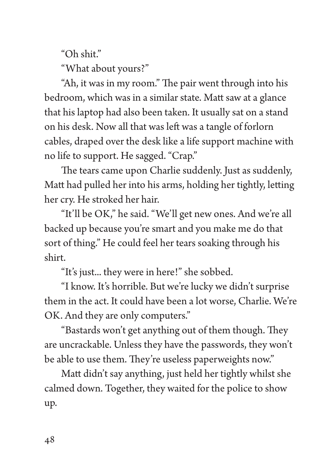"Oh shit."

"What about yours?"

"Ah, it was in my room." The pair went through into his bedroom, which was in a similar state. Matt saw at a glance that his laptop had also been taken. It usually sat on a stand on his desk. Now all that was left was a tangle of forlorn cables, draped over the desk like a life support machine with no life to support. He sagged. "Crap."

The tears came upon Charlie suddenly. Just as suddenly, Matt had pulled her into his arms, holding her tightly, letting her cry. He stroked her hair.

"It'll be OK," he said. "We'll get new ones. And we're all backed up because you're smart and you make me do that sort of thing." He could feel her tears soaking through his shirt.

"It's just... they were in here!" she sobbed.

"I know. It's horrible. But we're lucky we didn't surprise them in the act. It could have been a lot worse, Charlie. We're OK. And they are only computers."

"Bastards won't get anything out of them though. They are uncrackable. Unless they have the passwords, they won't be able to use them. They're useless paperweights now."

Matt didn't say anything, just held her tightly whilst she calmed down. Together, they waited for the police to show up.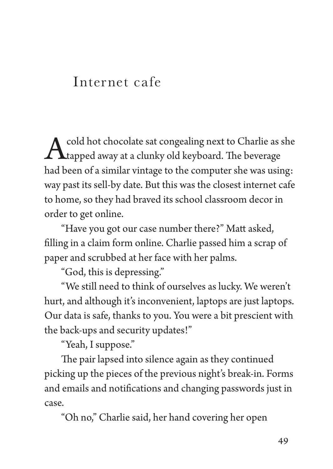## Internet cafe

A cold hot chocolate sat congealing next to Charlie as she<br>tapped away at a clunky old keyboard. The beverage<br>had been of a similar virtuo to the computer she very wine. had been of a similar vintage to the computer she was using: way past its sell-by date. But this was the closest internet cafe to home, so they had braved its school classroom decor in order to get online.

"Have you got our case number there?" Matt asked, filling in a claim form online. Charlie passed him a scrap of paper and scrubbed at her face with her palms.

"God, this is depressing."

"We still need to think of ourselves as lucky. We weren't hurt, and although it's inconvenient, laptops are just laptops. Our data is safe, thanks to you. You were a bit prescient with the back-ups and security updates!"

"Yeah, I suppose."

The pair lapsed into silence again as they continued picking up the pieces of the previous night's break-in. Forms and emails and notifications and changing passwords just in case.

"Oh no," Charlie said, her hand covering her open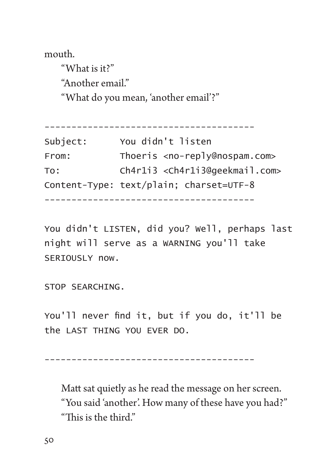mouth. "What is it?" "Another email." "What do you mean, 'another email'?"

| Subject: | You didn't listen                                     |
|----------|-------------------------------------------------------|
| From:    | Thoeris $<$ no-reply@nospam.com>                      |
| To:      | ch4r1i3 <ch4r1i3@geekmail.com></ch4r1i3@geekmail.com> |
|          | Content-Type: text/plain; charset=UTF-8               |
|          |                                                       |

You didn't LISTEN, did you? Well, perhaps last night will serve as a WARNING you'll take SERTOUSLY now

STOP SEARCHING.

You'll never find it, but if you do, it'll be the LAST THING YOU EVER DO.

---------------------------------------

Matt sat quietly as he read the message on her screen. "You said 'another'. How many of these have you had?" "This is the third."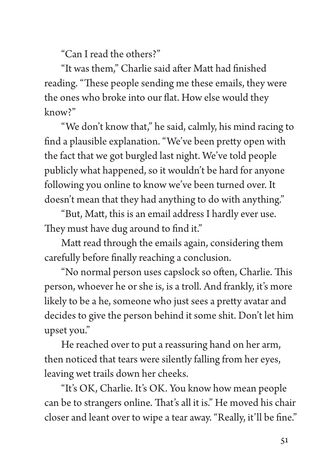"Can I read the others?"

"It was them," Charlie said after Matt had finished reading. "These people sending me these emails, they were the ones who broke into our flat. How else would they know?"

"We don't know that," he said, calmly, his mind racing to find a plausible explanation. "We've been pretty open with the fact that we got burgled last night. We've told people publicly what happened, so it wouldn't be hard for anyone following you online to know we've been turned over. It doesn't mean that they had anything to do with anything."

"But, Matt, this is an email address I hardly ever use. They must have dug around to find it."

Matt read through the emails again, considering them carefully before finally reaching a conclusion.

"No normal person uses capslock so often, Charlie. This person, whoever he or she is, is a troll. And frankly, it's more likely to be a he, someone who just sees a pretty avatar and decides to give the person behind it some shit. Don't let him upset you."

He reached over to put a reassuring hand on her arm, then noticed that tears were silently falling from her eyes, leaving wet trails down her cheeks.

"It's OK, Charlie. It's OK. You know how mean people can be to strangers online. That's all it is." He moved his chair closer and leant over to wipe a tear away. "Really, it'll be fine."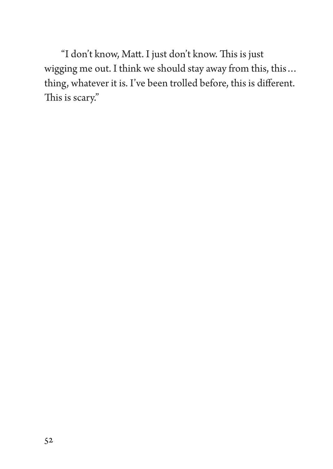"I don't know, Matt. I just don't know. This is just wigging me out. I think we should stay away from this, this… thing, whatever it is. I've been trolled before, this is different. This is scary."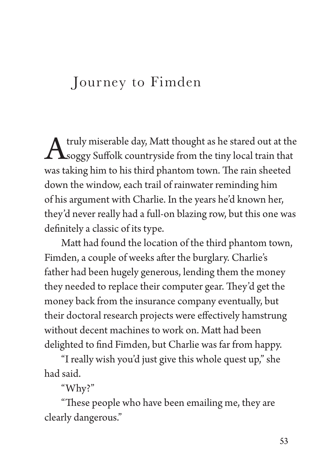## Journey to Fimden

A truly miserable day, Matt thought as he stared out at the Soggy Suffolk countryside from the tiny local train that was taking him to his third phantom town. The rain sheeted down the window, each trail of rainwater reminding him of his argument with Charlie. In the years he'd known her, they'd never really had a full-on blazing row, but this one was definitely a classic of its type.

Matt had found the location of the third phantom town, Fimden, a couple of weeks after the burglary. Charlie's father had been hugely generous, lending them the money they needed to replace their computer gear. They'd get the money back from the insurance company eventually, but their doctoral research projects were effectively hamstrung without decent machines to work on. Matt had been delighted to find Fimden, but Charlie was far from happy.

"I really wish you'd just give this whole quest up," she had said.

"Why?"

"These people who have been emailing me, they are clearly dangerous."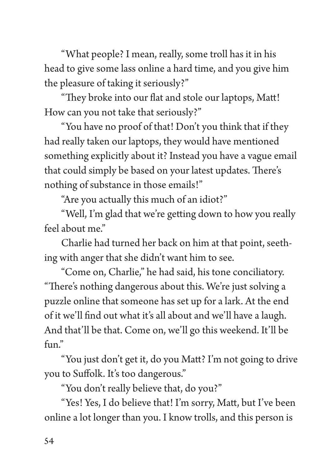"What people? I mean, really, some troll has it in his head to give some lass online a hard time, and you give him the pleasure of taking it seriously?"

"They broke into our flat and stole our laptops, Matt! How can you not take that seriously?"

"You have no proof of that! Don't you think that if they had really taken our laptops, they would have mentioned something explicitly about it? Instead you have a vague email that could simply be based on your latest updates. There's nothing of substance in those emails!"

"Are you actually this much of an idiot?"

"Well, I'm glad that we're getting down to how you really feel about me."

Charlie had turned her back on him at that point, seething with anger that she didn't want him to see.

"Come on, Charlie," he had said, his tone conciliatory. "There's nothing dangerous about this. We're just solving a puzzle online that someone has set up for a lark. At the end of it we'll find out what it's all about and we'll have a laugh. And that'll be that. Come on, we'll go this weekend. It'll be fun."

"You just don't get it, do you Matt? I'm not going to drive you to Suffolk. It's too dangerous."

"You don't really believe that, do you?"

"Yes! Yes, I do believe that! I'm sorry, Matt, but I've been online a lot longer than you. I know trolls, and this person is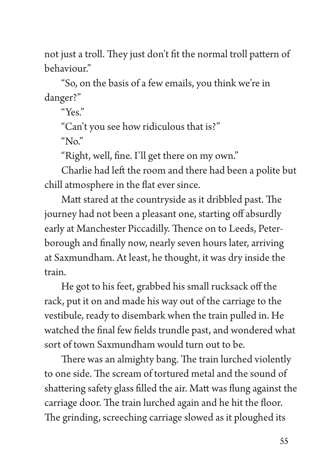not just a troll. They just don't fit the normal troll pattern of behaviour."

"So, on the basis of a few emails, you think we're in danger?"

"Yes."

"Can't you see how ridiculous that is?"

" $No.$ "

"Right, well, fine. I'll get there on my own."

Charlie had left the room and there had been a polite but chill atmosphere in the flat ever since.

Matt stared at the countryside as it dribbled past. The journey had not been a pleasant one, starting off absurdly early at Manchester Piccadilly. Thence on to Leeds, Peterborough and finally now, nearly seven hours later, arriving at Saxmundham. At least, he thought, it was dry inside the train.

He got to his feet, grabbed his small rucksack off the rack, put it on and made his way out of the carriage to the vestibule, ready to disembark when the train pulled in. He watched the final few fields trundle past, and wondered what sort of town Saxmundham would turn out to be.

There was an almighty bang. The train lurched violently to one side. The scream of tortured metal and the sound of shattering safety glass filled the air. Matt was flung against the carriage door. The train lurched again and he hit the floor. The grinding, screeching carriage slowed as it ploughed its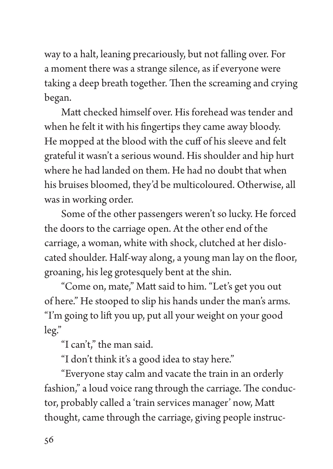way to a halt, leaning precariously, but not falling over. For a moment there was a strange silence, as if everyone were taking a deep breath together. Then the screaming and crying began.

Matt checked himself over. His forehead was tender and when he felt it with his fingertips they came away bloody. He mopped at the blood with the cuff of his sleeve and felt grateful it wasn't a serious wound. His shoulder and hip hurt where he had landed on them. He had no doubt that when his bruises bloomed, they'd be multicoloured. Otherwise, all was in working order.

Some of the other passengers weren't so lucky. He forced the doors to the carriage open. At the other end of the carriage, a woman, white with shock, clutched at her dislocated shoulder. Half-way along, a young man lay on the floor, groaning, his leg grotesquely bent at the shin.

"Come on, mate," Matt said to him. "Let's get you out of here." He stooped to slip his hands under the man's arms. "I'm going to lift you up, put all your weight on your good leg."

"I can't," the man said.

"I don't think it's a good idea to stay here."

"Everyone stay calm and vacate the train in an orderly fashion," a loud voice rang through the carriage. The conductor, probably called a 'train services manager' now, Matt thought, came through the carriage, giving people instruc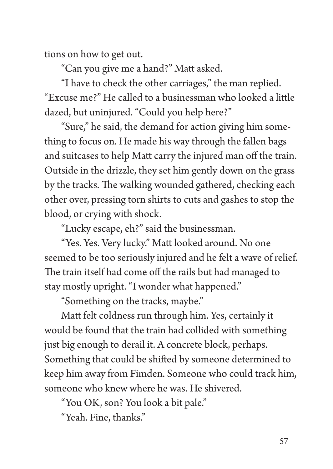tions on how to get out.

"Can you give me a hand?" Matt asked.

"I have to check the other carriages," the man replied. "Excuse me?" He called to a businessman who looked a little dazed, but uninjured. "Could you help here?"

"Sure," he said, the demand for action giving him something to focus on. He made his way through the fallen bags and suitcases to help Matt carry the injured man off the train. Outside in the drizzle, they set him gently down on the grass by the tracks. The walking wounded gathered, checking each other over, pressing torn shirts to cuts and gashes to stop the blood, or crying with shock.

"Lucky escape, eh?" said the businessman.

"Yes. Yes. Very lucky." Matt looked around. No one seemed to be too seriously injured and he felt a wave of relief. The train itself had come off the rails but had managed to stay mostly upright. "I wonder what happened."

"Something on the tracks, maybe."

Matt felt coldness run through him. Yes, certainly it would be found that the train had collided with something just big enough to derail it. A concrete block, perhaps. Something that could be shifted by someone determined to keep him away from Fimden. Someone who could track him, someone who knew where he was. He shivered.

"You OK, son? You look a bit pale."

"Yeah. Fine, thanks."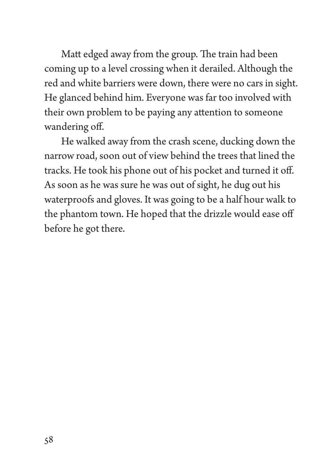Matt edged away from the group. The train had been coming up to a level crossing when it derailed. Although the red and white barriers were down, there were no cars in sight. He glanced behind him. Everyone was far too involved with their own problem to be paying any attention to someone wandering off.

He walked away from the crash scene, ducking down the narrow road, soon out of view behind the trees that lined the tracks. He took his phone out of his pocket and turned it off. As soon as he was sure he was out of sight, he dug out his waterproofs and gloves. It was going to be a half hour walk to the phantom town. He hoped that the drizzle would ease off before he got there.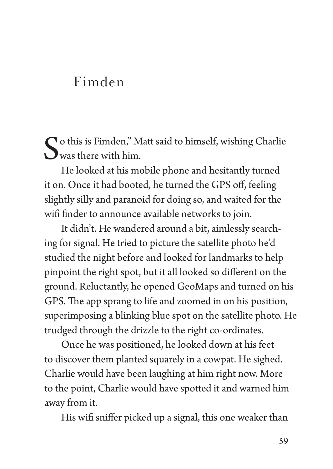#### Fimden

So this is Fimden," Matt said to himself, wishing Charlie<br>was there with him.<br>La lacked at his mobile phase and has itselfative mod

He looked at his mobile phone and hesitantly turned it on. Once it had booted, he turned the GPS off, feeling slightly silly and paranoid for doing so, and waited for the wifi finder to announce available networks to join.

It didn't. He wandered around a bit, aimlessly searching for signal. He tried to picture the satellite photo he'd studied the night before and looked for landmarks to help pinpoint the right spot, but it all looked so different on the ground. Reluctantly, he opened GeoMaps and turned on his GPS. The app sprang to life and zoomed in on his position, superimposing a blinking blue spot on the satellite photo. He trudged through the drizzle to the right co-ordinates.

Once he was positioned, he looked down at his feet to discover them planted squarely in a cowpat. He sighed. Charlie would have been laughing at him right now. More to the point, Charlie would have spotted it and warned him away from it.

His wifi sniffer picked up a signal, this one weaker than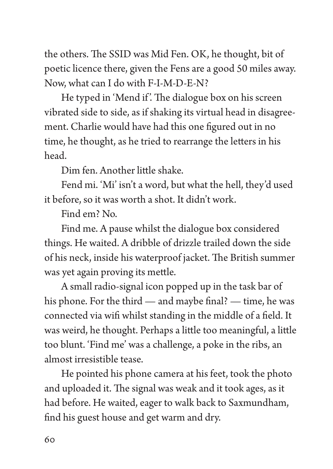the others. The SSID was Mid Fen. OK, he thought, bit of poetic licence there, given the Fens are a good 50 miles away. Now, what can I do with F-I-M-D-E-N?

He typed in 'Mend if'. The dialogue box on his screen vibrated side to side, as if shaking its virtual head in disagreement. Charlie would have had this one figured out in no time, he thought, as he tried to rearrange the letters in his head.

Dim fen. Another little shake.

Fend mi. 'Mi' isn't a word, but what the hell, they'd used it before, so it was worth a shot. It didn't work.

Find em? No.

Find me. A pause whilst the dialogue box considered things. He waited. A dribble of drizzle trailed down the side of his neck, inside his waterproof jacket. The British summer was yet again proving its mettle.

A small radio-signal icon popped up in the task bar of his phone. For the third — and maybe final? — time, he was connected via wifi whilst standing in the middle of a field. It was weird, he thought. Perhaps a little too meaningful, a little too blunt. 'Find me' was a challenge, a poke in the ribs, an almost irresistible tease.

He pointed his phone camera at his feet, took the photo and uploaded it. The signal was weak and it took ages, as it had before. He waited, eager to walk back to Saxmundham, find his guest house and get warm and dry.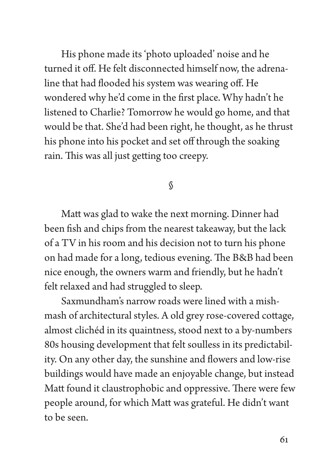His phone made its 'photo uploaded' noise and he turned it off. He felt disconnected himself now, the adrenaline that had flooded his system was wearing off. He wondered why he'd come in the first place. Why hadn't he listened to Charlie? Tomorrow he would go home, and that would be that. She'd had been right, he thought, as he thrust his phone into his pocket and set off through the soaking rain. This was all just getting too creepy.

§

Matt was glad to wake the next morning. Dinner had been fish and chips from the nearest takeaway, but the lack of a TV in his room and his decision not to turn his phone on had made for a long, tedious evening. The B&B had been nice enough, the owners warm and friendly, but he hadn't felt relaxed and had struggled to sleep.

Saxmundham's narrow roads were lined with a mishmash of architectural styles. A old grey rose-covered cottage, almost clichéd in its quaintness, stood next to a by-numbers 80s housing development that felt soulless in its predictability. On any other day, the sunshine and flowers and low-rise buildings would have made an enjoyable change, but instead Matt found it claustrophobic and oppressive. There were few people around, for which Matt was grateful. He didn't want to be seen.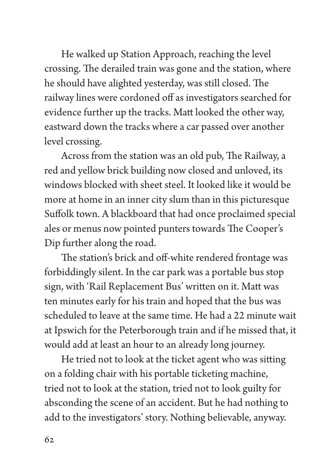He walked up Station Approach, reaching the level crossing. The derailed train was gone and the station, where he should have alighted yesterday, was still closed. The railway lines were cordoned off as investigators searched for evidence further up the tracks. Matt looked the other way, eastward down the tracks where a car passed over another level crossing.

Across from the station was an old pub, The Railway, a red and yellow brick building now closed and unloved, its windows blocked with sheet steel. It looked like it would be more at home in an inner city slum than in this picturesque Suffolk town. A blackboard that had once proclaimed special ales or menus now pointed punters towards The Cooper's Dip further along the road.

The station's brick and off-white rendered frontage was forbiddingly silent. In the car park was a portable bus stop sign, with 'Rail Replacement Bus' written on it. Matt was ten minutes early for his train and hoped that the bus was scheduled to leave at the same time. He had a 22 minute wait at Ipswich for the Peterborough train and if he missed that, it would add at least an hour to an already long journey.

He tried not to look at the ticket agent who was sitting on a folding chair with his portable ticketing machine, tried not to look at the station, tried not to look guilty for absconding the scene of an accident. But he had nothing to add to the investigators' story. Nothing believable, anyway.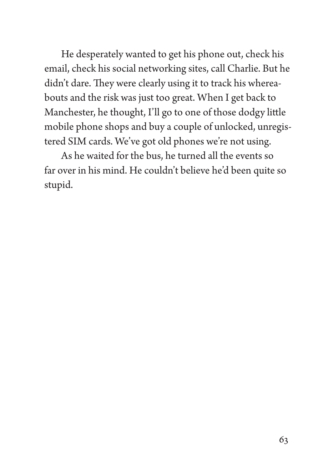He desperately wanted to get his phone out, check his email, check his social networking sites, call Charlie. But he didn't dare. They were clearly using it to track his whereabouts and the risk was just too great. When I get back to Manchester, he thought, I'll go to one of those dodgy little mobile phone shops and buy a couple of unlocked, unregistered SIM cards. We've got old phones we're not using.

As he waited for the bus, he turned all the events so far over in his mind. He couldn't believe he'd been quite so stupid.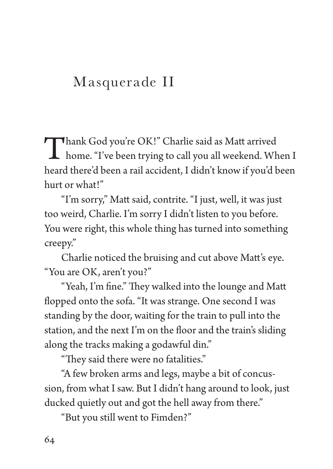# Masquerade II

Thank God you're OK!" Charlie said as Matt arrived<br>home. "I've been trying to call you all weekend. When I<br>hoogd than "discussions" I didn't know if way'd hoog heard there'd been a rail accident, I didn't know if you'd been hurt or what!"

"I'm sorry," Matt said, contrite. "I just, well, it was just too weird, Charlie. I'm sorry I didn't listen to you before. You were right, this whole thing has turned into something creepy."

Charlie noticed the bruising and cut above Matt's eye. "You are OK, aren't you?"

"Yeah, I'm fine." They walked into the lounge and Matt flopped onto the sofa. "It was strange. One second I was standing by the door, waiting for the train to pull into the station, and the next I'm on the floor and the train's sliding along the tracks making a godawful din."

"They said there were no fatalities."

"A few broken arms and legs, maybe a bit of concussion, from what I saw. But I didn't hang around to look, just ducked quietly out and got the hell away from there."

"But you still went to Fimden?"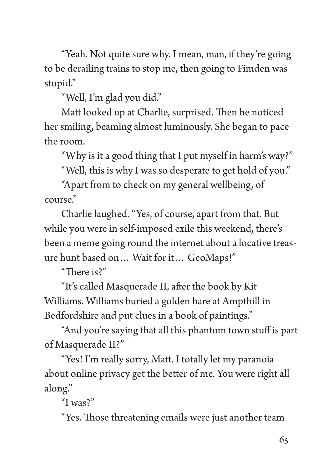"Yeah. Not quite sure why. I mean, man, if they're going to be derailing trains to stop me, then going to Fimden was stupid."

"Well, I'm glad you did."

Matt looked up at Charlie, surprised. Then he noticed her smiling, beaming almost luminously. She began to pace the room.

"Why is it a good thing that I put myself in harm's way?"

"Well, this is why I was so desperate to get hold of you."

"Apart from to check on my general wellbeing, of course."

Charlie laughed. "Yes, of course, apart from that. But while you were in self-imposed exile this weekend, there's been a meme going round the internet about a locative treasure hunt based on… Wait for it… GeoMaps!"

"There is?"

"It's called Masquerade II, after the book by Kit Williams. Williams buried a golden hare at Ampthill in Bedfordshire and put clues in a book of paintings."

"And you're saying that all this phantom town stuff is part of Masquerade II?"

"Yes! I'm really sorry, Matt. I totally let my paranoia about online privacy get the better of me. You were right all along."

"I was?"

"Yes. Those threatening emails were just another team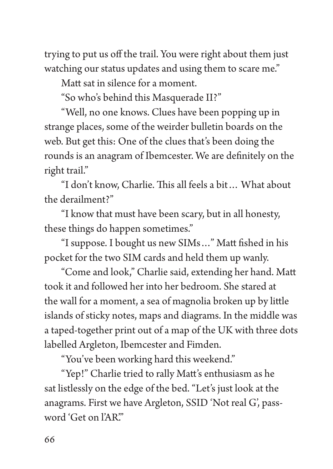trying to put us off the trail. You were right about them just watching our status updates and using them to scare me."

Matt sat in silence for a moment.

"So who's behind this Masquerade II?"

"Well, no one knows. Clues have been popping up in strange places, some of the weirder bulletin boards on the web. But get this: One of the clues that's been doing the rounds is an anagram of Ibemcester. We are definitely on the right trail."

"I don't know, Charlie. This all feels a bit… What about the derailment?"

"I know that must have been scary, but in all honesty, these things do happen sometimes."

"I suppose. I bought us new SIMs…" Matt fished in his pocket for the two SIM cards and held them up wanly.

"Come and look," Charlie said, extending her hand. Matt took it and followed her into her bedroom. She stared at the wall for a moment, a sea of magnolia broken up by little islands of sticky notes, maps and diagrams. In the middle was a taped-together print out of a map of the UK with three dots labelled Argleton, Ibemcester and Fimden.

"You've been working hard this weekend."

"Yep!" Charlie tried to rally Matt's enthusiasm as he sat listlessly on the edge of the bed. "Let's just look at the anagrams. First we have Argleton, SSID 'Not real G', password 'Get on l'AR'."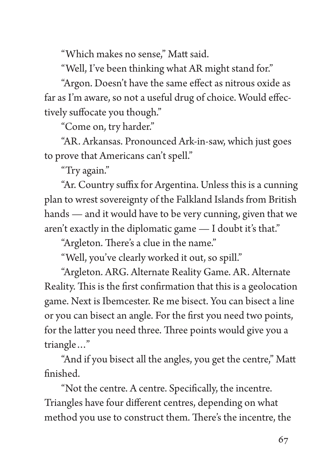"Which makes no sense," Matt said.

"Well, I've been thinking what AR might stand for."

"Argon. Doesn't have the same effect as nitrous oxide as far as I'm aware, so not a useful drug of choice. Would effectively suffocate you though."

"Come on, try harder."

"AR. Arkansas. Pronounced Ark-in-saw, which just goes to prove that Americans can't spell."

"Try again."

"Ar. Country suffix for Argentina. Unless this is a cunning plan to wrest sovereignty of the Falkland Islands from British hands — and it would have to be very cunning, given that we aren't exactly in the diplomatic game — I doubt it's that."

"Argleton. There's a clue in the name."

"Well, you've clearly worked it out, so spill."

"Argleton. ARG. Alternate Reality Game. AR. Alternate Reality. This is the first confirmation that this is a geolocation game. Next is Ibemcester. Re me bisect. You can bisect a line or you can bisect an angle. For the first you need two points, for the latter you need three. Three points would give you a triangle…"

"And if you bisect all the angles, you get the centre," Matt finished.

"Not the centre. A centre. Specifically, the incentre. Triangles have four different centres, depending on what method you use to construct them. There's the incentre, the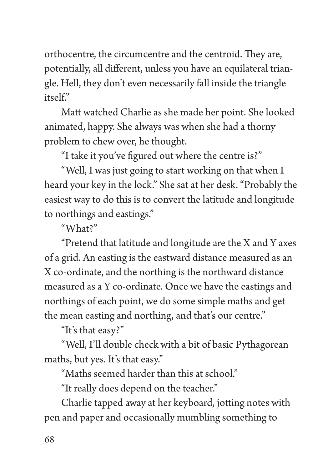orthocentre, the circumcentre and the centroid. They are, potentially, all different, unless you have an equilateral triangle. Hell, they don't even necessarily fall inside the triangle  $i$ tself"

Matt watched Charlie as she made her point. She looked animated, happy. She always was when she had a thorny problem to chew over, he thought.

"I take it you've figured out where the centre is?"

"Well, I was just going to start working on that when I heard your key in the lock." She sat at her desk. "Probably the easiest way to do this is to convert the latitude and longitude to northings and eastings."

"What?"

"Pretend that latitude and longitude are the X and Y axes of a grid. An easting is the eastward distance measured as an X co-ordinate, and the northing is the northward distance measured as a Y co-ordinate. Once we have the eastings and northings of each point, we do some simple maths and get the mean easting and northing, and that's our centre."

"It's that easy?"

"Well, I'll double check with a bit of basic Pythagorean maths, but yes. It's that easy."

"Maths seemed harder than this at school."

"It really does depend on the teacher."

Charlie tapped away at her keyboard, jotting notes with pen and paper and occasionally mumbling something to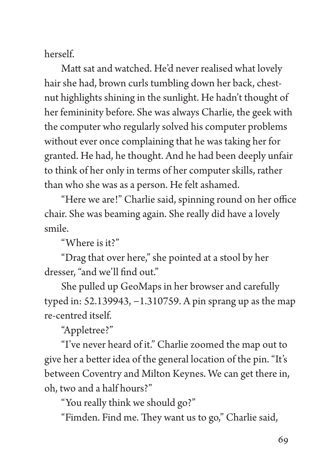herself.

Matt sat and watched. He'd never realised what lovely hair she had, brown curls tumbling down her back, chestnut highlights shining in the sunlight. He hadn't thought of her femininity before. She was always Charlie, the geek with the computer who regularly solved his computer problems without ever once complaining that he was taking her for granted. He had, he thought. And he had been deeply unfair to think of her only in terms of her computer skills, rather than who she was as a person. He felt ashamed.

"Here we are!" Charlie said, spinning round on her office chair. She was beaming again. She really did have a lovely smile.

"Where is it?"

"Drag that over here," she pointed at a stool by her dresser, "and we'll find out."

She pulled up GeoMaps in her browser and carefully typed in: 52.139943, −1.310759. A pin sprang up as the map re-centred itself.

"Appletree?"

"I've never heard of it." Charlie zoomed the map out to give her a better idea of the general location of the pin. "It's between Coventry and Milton Keynes. We can get there in, oh, two and a half hours?"

"You really think we should go?"

"Fimden. Find me. They want us to go," Charlie said,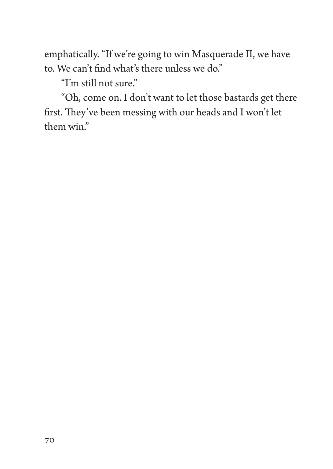emphatically. "If we're going to win Masquerade II, we have to. We can't find what's there unless we do."

"I'm still not sure."

"Oh, come on. I don't want to let those bastards get there first. They've been messing with our heads and I won't let them win."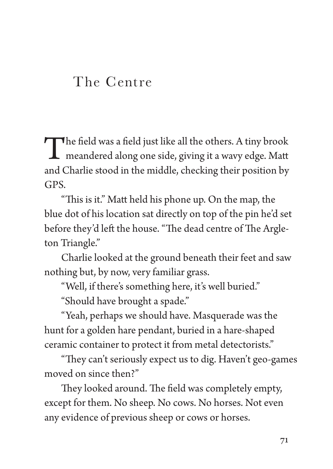#### The Centre

The field was a field just like all the others. A tiny brook<br>meandered along one side, giving it a wavy edge. Matt and Charlie stood in the middle, checking their position by GPS.

"This is it." Matt held his phone up. On the map, the blue dot of his location sat directly on top of the pin he'd set before they'd left the house. "The dead centre of The Argleton Triangle."

Charlie looked at the ground beneath their feet and saw nothing but, by now, very familiar grass.

"Well, if there's something here, it's well buried."

"Should have brought a spade."

"Yeah, perhaps we should have. Masquerade was the hunt for a golden hare pendant, buried in a hare-shaped ceramic container to protect it from metal detectorists."

"They can't seriously expect us to dig. Haven't geo-games moved on since then?"

They looked around. The field was completely empty, except for them. No sheep. No cows. No horses. Not even any evidence of previous sheep or cows or horses.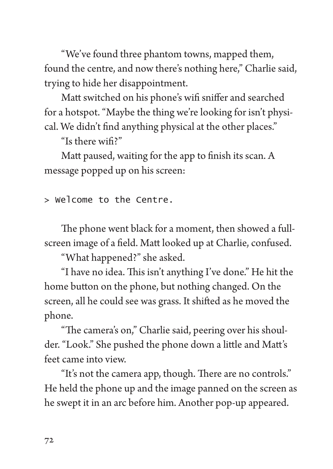"We've found three phantom towns, mapped them, found the centre, and now there's nothing here," Charlie said, trying to hide her disappointment.

Matt switched on his phone's wifi sniffer and searched for a hotspot. "Maybe the thing we're looking for isn't physical. We didn't find anything physical at the other places."

"Is there wifi?"

Matt paused, waiting for the app to finish its scan. A message popped up on his screen:

> Welcome to the Centre.

The phone went black for a moment, then showed a fullscreen image of a field. Matt looked up at Charlie, confused.

"What happened?" she asked.

"I have no idea. This isn't anything I've done." He hit the home button on the phone, but nothing changed. On the screen, all he could see was grass. It shifted as he moved the phone.

"The camera's on," Charlie said, peering over his shoulder. "Look." She pushed the phone down a little and Matt's feet came into view.

"It's not the camera app, though. There are no controls." He held the phone up and the image panned on the screen as he swept it in an arc before him. Another pop-up appeared.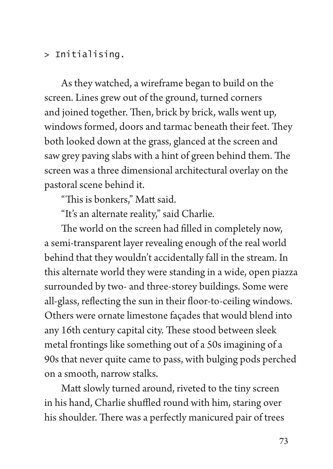#### > Initialising.

As they watched, a wireframe began to build on the screen. Lines grew out of the ground, turned corners and joined together. Then, brick by brick, walls went up, windows formed, doors and tarmac beneath their feet. They both looked down at the grass, glanced at the screen and saw grey paving slabs with a hint of green behind them. The screen was a three dimensional architectural overlay on the pastoral scene behind it.

"This is bonkers," Matt said.

"It's an alternate reality," said Charlie.

The world on the screen had filled in completely now, a semi-transparent layer revealing enough of the real world behind that they wouldn't accidentally fall in the stream. In this alternate world they were standing in a wide, open piazza surrounded by two- and three-storey buildings. Some were all-glass, reflecting the sun in their floor-to-ceiling windows. Others were ornate limestone façades that would blend into any 16th century capital city. These stood between sleek metal frontings like something out of a 50s imagining of a 90s that never quite came to pass, with bulging pods perched on a smooth, narrow stalks.

Matt slowly turned around, riveted to the tiny screen in his hand, Charlie shuffled round with him, staring over his shoulder. There was a perfectly manicured pair of trees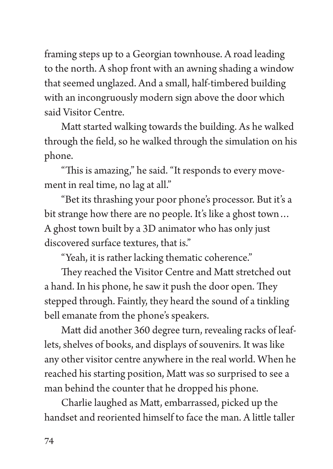framing steps up to a Georgian townhouse. A road leading to the north. A shop front with an awning shading a window that seemed unglazed. And a small, half-timbered building with an incongruously modern sign above the door which said Visitor Centre.

Matt started walking towards the building. As he walked through the field, so he walked through the simulation on his phone.

"This is amazing," he said. "It responds to every movement in real time, no lag at all."

"Bet its thrashing your poor phone's processor. But it's a bit strange how there are no people. It's like a ghost town… A ghost town built by a 3D animator who has only just discovered surface textures, that is."

"Yeah, it is rather lacking thematic coherence."

They reached the Visitor Centre and Matt stretched out a hand. In his phone, he saw it push the door open. They stepped through. Faintly, they heard the sound of a tinkling bell emanate from the phone's speakers.

Matt did another 360 degree turn, revealing racks of leaflets, shelves of books, and displays of souvenirs. It was like any other visitor centre anywhere in the real world. When he reached his starting position, Matt was so surprised to see a man behind the counter that he dropped his phone.

Charlie laughed as Matt, embarrassed, picked up the handset and reoriented himself to face the man. A little taller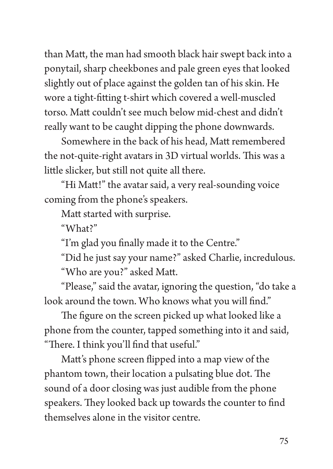than Matt, the man had smooth black hair swept back into a ponytail, sharp cheekbones and pale green eyes that looked slightly out of place against the golden tan of his skin. He wore a tight-fitting t-shirt which covered a well-muscled torso. Matt couldn't see much below mid-chest and didn't really want to be caught dipping the phone downwards.

Somewhere in the back of his head, Matt remembered the not-quite-right avatars in 3D virtual worlds. This was a little slicker, but still not quite all there.

"Hi Matt!" the avatar said, a very real-sounding voice coming from the phone's speakers.

Matt started with surprise.

"What?"

"I'm glad you finally made it to the Centre."

"Did he just say your name?" asked Charlie, incredulous. "Who are you?" asked Matt.

"Please," said the avatar, ignoring the question, "do take a look around the town. Who knows what you will find."

The figure on the screen picked up what looked like a phone from the counter, tapped something into it and said, "There. I think you'll find that useful."

Matt's phone screen flipped into a map view of the phantom town, their location a pulsating blue dot. The sound of a door closing was just audible from the phone speakers. They looked back up towards the counter to find themselves alone in the visitor centre.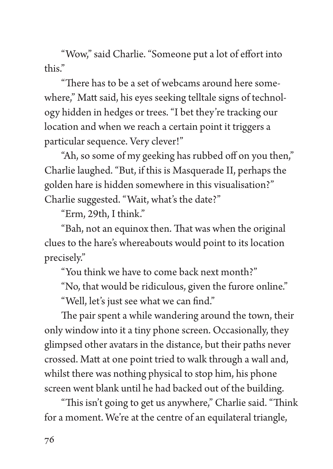"Wow," said Charlie. "Someone put a lot of effort into this."

"There has to be a set of webcams around here somewhere," Matt said, his eyes seeking telltale signs of technology hidden in hedges or trees. "I bet they're tracking our location and when we reach a certain point it triggers a particular sequence. Very clever!"

"Ah, so some of my geeking has rubbed off on you then," Charlie laughed. "But, if this is Masquerade II, perhaps the golden hare is hidden somewhere in this visualisation?" Charlie suggested. "Wait, what's the date?"

"Erm, 29th, I think."

"Bah, not an equinox then. That was when the original clues to the hare's whereabouts would point to its location precisely."

"You think we have to come back next month?"

"No, that would be ridiculous, given the furore online."

"Well, let's just see what we can find."

The pair spent a while wandering around the town, their only window into it a tiny phone screen. Occasionally, they glimpsed other avatars in the distance, but their paths never crossed. Matt at one point tried to walk through a wall and, whilst there was nothing physical to stop him, his phone screen went blank until he had backed out of the building.

"This isn't going to get us anywhere," Charlie said. "Think for a moment. We're at the centre of an equilateral triangle,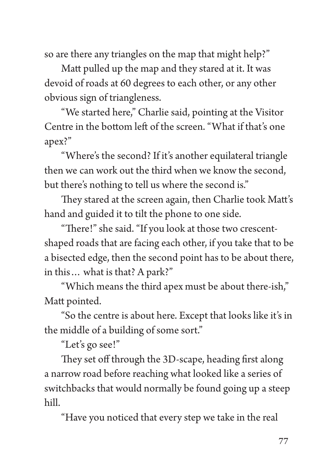so are there any triangles on the map that might help?"

Matt pulled up the map and they stared at it. It was devoid of roads at 60 degrees to each other, or any other obvious sign of triangleness.

"We started here," Charlie said, pointing at the Visitor Centre in the bottom left of the screen. "What if that's one apex?"

"Where's the second? If it's another equilateral triangle then we can work out the third when we know the second, but there's nothing to tell us where the second is."

They stared at the screen again, then Charlie took Matt's hand and guided it to tilt the phone to one side.

"There!" she said. "If you look at those two crescentshaped roads that are facing each other, if you take that to be a bisected edge, then the second point has to be about there, in this… what is that? A park?"

"Which means the third apex must be about there-ish," Matt pointed.

"So the centre is about here. Except that looks like it's in the middle of a building of some sort."

"Let's go see!"

They set off through the 3D-scape, heading first along a narrow road before reaching what looked like a series of switchbacks that would normally be found going up a steep hill.

"Have you noticed that every step we take in the real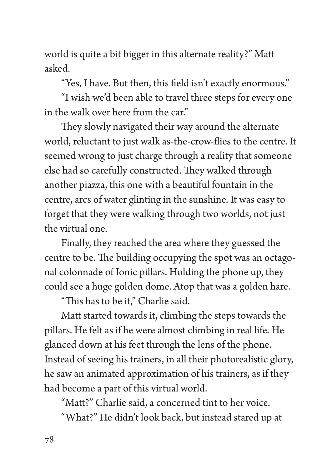world is quite a bit bigger in this alternate reality?" Matt asked.

"Yes, I have. But then, this field isn't exactly enormous."

"I wish we'd been able to travel three steps for every one in the walk over here from the car."

They slowly navigated their way around the alternate world, reluctant to just walk as-the-crow-flies to the centre. It seemed wrong to just charge through a reality that someone else had so carefully constructed. They walked through another piazza, this one with a beautiful fountain in the centre, arcs of water glinting in the sunshine. It was easy to forget that they were walking through two worlds, not just the virtual one.

Finally, they reached the area where they guessed the centre to be. The building occupying the spot was an octagonal colonnade of Ionic pillars. Holding the phone up, they could see a huge golden dome. Atop that was a golden hare.

"This has to be it," Charlie said.

Matt started towards it, climbing the steps towards the pillars. He felt as if he were almost climbing in real life. He glanced down at his feet through the lens of the phone. Instead of seeing his trainers, in all their photorealistic glory, he saw an animated approximation of his trainers, as if they had become a part of this virtual world.

"Matt?" Charlie said, a concerned tint to her voice. "What?" He didn't look back, but instead stared up at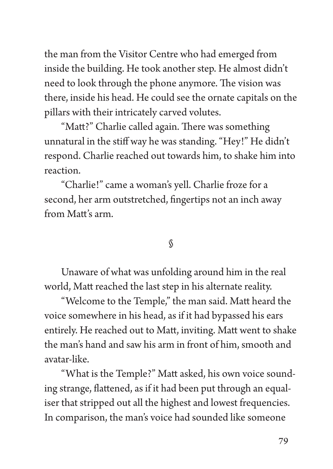the man from the Visitor Centre who had emerged from inside the building. He took another step. He almost didn't need to look through the phone anymore. The vision was there, inside his head. He could see the ornate capitals on the pillars with their intricately carved volutes.

"Matt?" Charlie called again. There was something unnatural in the stiff way he was standing. "Hey!" He didn't respond. Charlie reached out towards him, to shake him into reaction.

"Charlie!" came a woman's yell. Charlie froze for a second, her arm outstretched, fingertips not an inch away from Matt's arm.

§

Unaware of what was unfolding around him in the real world, Matt reached the last step in his alternate reality.

"Welcome to the Temple," the man said. Matt heard the voice somewhere in his head, as if it had bypassed his ears entirely. He reached out to Matt, inviting. Matt went to shake the man's hand and saw his arm in front of him, smooth and avatar-like.

"What is the Temple?" Matt asked, his own voice sounding strange, flattened, as if it had been put through an equaliser that stripped out all the highest and lowest frequencies. In comparison, the man's voice had sounded like someone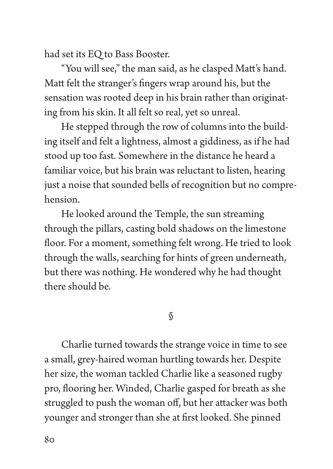had set its EQ to Bass Booster.

"You will see," the man said, as he clasped Matt's hand. Matt felt the stranger's fingers wrap around his, but the sensation was rooted deep in his brain rather than originating from his skin. It all felt so real, yet so unreal.

He stepped through the row of columns into the building itself and felt a lightness, almost a giddiness, as if he had stood up too fast. Somewhere in the distance he heard a familiar voice, but his brain was reluctant to listen, hearing just a noise that sounded bells of recognition but no comprehension.

He looked around the Temple, the sun streaming through the pillars, casting bold shadows on the limestone floor. For a moment, something felt wrong. He tried to look through the walls, searching for hints of green underneath, but there was nothing. He wondered why he had thought there should be.

§

Charlie turned towards the strange voice in time to see a small, grey-haired woman hurtling towards her. Despite her size, the woman tackled Charlie like a seasoned rugby pro, flooring her. Winded, Charlie gasped for breath as she struggled to push the woman off, but her attacker was both younger and stronger than she at first looked. She pinned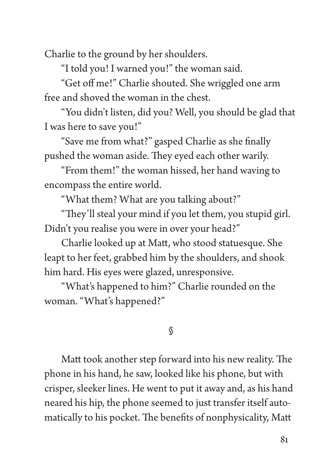Charlie to the ground by her shoulders.

"I told you! I warned you!" the woman said.

"Get off me!" Charlie shouted. She wriggled one arm free and shoved the woman in the chest.

"You didn't listen, did you? Well, you should be glad that I was here to save you!"

"Save me from what?" gasped Charlie as she finally pushed the woman aside. They eyed each other warily.

"From them!" the woman hissed, her hand waving to encompass the entire world.

"What them? What are you talking about?"

"They'll steal your mind if you let them, you stupid girl. Didn't you realise you were in over your head?"

Charlie looked up at Matt, who stood statuesque. She leapt to her feet, grabbed him by the shoulders, and shook him hard. His eyes were glazed, unresponsive.

"What's happened to him?" Charlie rounded on the woman. "What's happened?"

#### §

Matt took another step forward into his new reality. The phone in his hand, he saw, looked like his phone, but with crisper, sleeker lines. He went to put it away and, as his hand neared his hip, the phone seemed to just transfer itself automatically to his pocket. The benefits of nonphysicality, Matt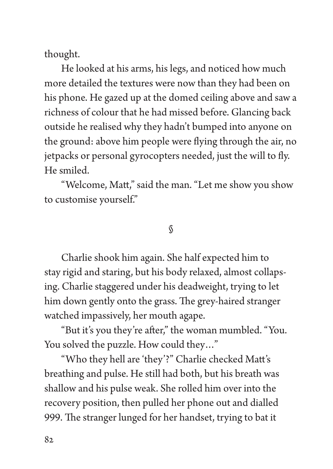thought.

He looked at his arms, his legs, and noticed how much more detailed the textures were now than they had been on his phone. He gazed up at the domed ceiling above and saw a richness of colour that he had missed before. Glancing back outside he realised why they hadn't bumped into anyone on the ground: above him people were flying through the air, no jetpacks or personal gyrocopters needed, just the will to fly. He smiled.

"Welcome, Matt," said the man. "Let me show you show to customise yourself."

§

Charlie shook him again. She half expected him to stay rigid and staring, but his body relaxed, almost collapsing. Charlie staggered under his deadweight, trying to let him down gently onto the grass. The grey-haired stranger watched impassively, her mouth agape.

"But it's you they're after," the woman mumbled. "You. You solved the puzzle. How could they…"

"Who they hell are 'they'?" Charlie checked Matt's breathing and pulse. He still had both, but his breath was shallow and his pulse weak. She rolled him over into the recovery position, then pulled her phone out and dialled 999. The stranger lunged for her handset, trying to bat it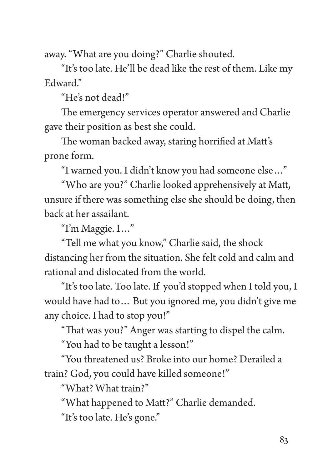away. "What are you doing?" Charlie shouted.

"It's too late. He'll be dead like the rest of them. Like my Edward"

"He's not dead!"

The emergency services operator answered and Charlie gave their position as best she could.

The woman backed away, staring horrified at Matt's prone form.

"I warned you. I didn't know you had someone else…"

"Who are you?" Charlie looked apprehensively at Matt, unsure if there was something else she should be doing, then back at her assailant.

"I'm Maggie. I…"

"Tell me what you know," Charlie said, the shock distancing her from the situation. She felt cold and calm and rational and dislocated from the world.

"It's too late. Too late. If you'd stopped when I told you, I would have had to… But you ignored me, you didn't give me any choice. I had to stop you!"

"That was you?" Anger was starting to dispel the calm.

"You had to be taught a lesson!"

"You threatened us? Broke into our home? Derailed a train? God, you could have killed someone!"

"What? What train?"

"What happened to Matt?" Charlie demanded.

"It's too late. He's gone."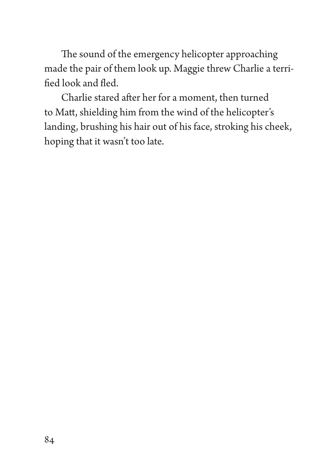The sound of the emergency helicopter approaching made the pair of them look up. Maggie threw Charlie a terrified look and fled.

Charlie stared after her for a moment, then turned to Matt, shielding him from the wind of the helicopter's landing, brushing his hair out of his face, stroking his cheek, hoping that it wasn't too late.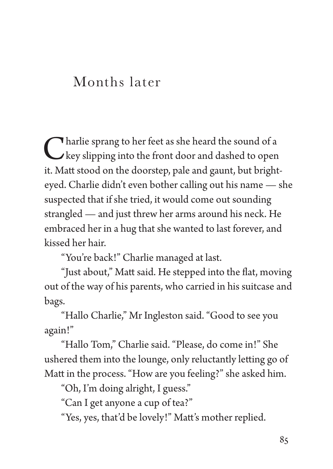# Months later

Charlie sprang to her feet as she heard the sound of a<br>key slipping into the front door and dashed to open<br>it. Matt steed on the doorstan gele and sount, but bright it. Matt stood on the doorstep, pale and gaunt, but brighteyed. Charlie didn't even bother calling out his name — she suspected that if she tried, it would come out sounding strangled — and just threw her arms around his neck. He embraced her in a hug that she wanted to last forever, and kissed her hair.

"You're back!" Charlie managed at last.

"Just about," Matt said. He stepped into the flat, moving out of the way of his parents, who carried in his suitcase and bags.

"Hallo Charlie," Mr Ingleston said. "Good to see you again!"

"Hallo Tom," Charlie said. "Please, do come in!" She ushered them into the lounge, only reluctantly letting go of Matt in the process. "How are you feeling?" she asked him.

"Oh, I'm doing alright, I guess."

"Can I get anyone a cup of tea?"

"Yes, yes, that'd be lovely!" Matt's mother replied.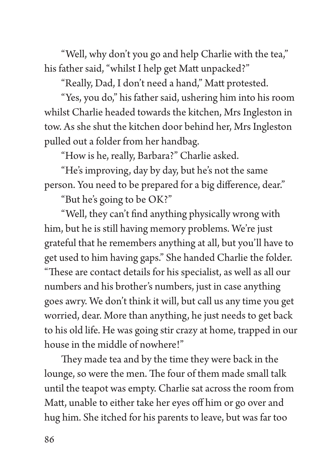"Well, why don't you go and help Charlie with the tea," his father said, "whilst I help get Matt unpacked?"

"Really, Dad, I don't need a hand," Matt protested.

"Yes, you do," his father said, ushering him into his room whilst Charlie headed towards the kitchen, Mrs Ingleston in tow. As she shut the kitchen door behind her, Mrs Ingleston pulled out a folder from her handbag.

"How is he, really, Barbara?" Charlie asked.

"He's improving, day by day, but he's not the same person. You need to be prepared for a big difference, dear."

"But he's going to be OK?"

"Well, they can't find anything physically wrong with him, but he is still having memory problems. We're just grateful that he remembers anything at all, but you'll have to get used to him having gaps." She handed Charlie the folder. "These are contact details for his specialist, as well as all our numbers and his brother's numbers, just in case anything goes awry. We don't think it will, but call us any time you get worried, dear. More than anything, he just needs to get back to his old life. He was going stir crazy at home, trapped in our house in the middle of nowhere!"

They made tea and by the time they were back in the lounge, so were the men. The four of them made small talk until the teapot was empty. Charlie sat across the room from Matt, unable to either take her eyes off him or go over and hug him. She itched for his parents to leave, but was far too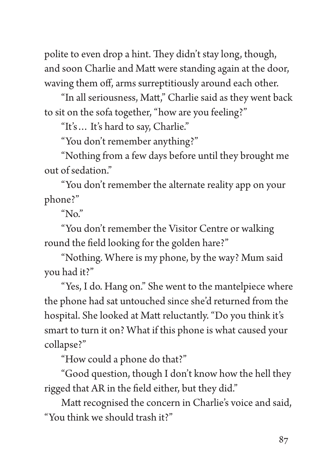polite to even drop a hint. They didn't stay long, though, and soon Charlie and Matt were standing again at the door, waving them off, arms surreptitiously around each other.

"In all seriousness, Matt," Charlie said as they went back to sit on the sofa together, "how are you feeling?"

"It's… It's hard to say, Charlie."

"You don't remember anything?"

"Nothing from a few days before until they brought me out of sedation."

"You don't remember the alternate reality app on your phone?"

" $N_0$ "

"You don't remember the Visitor Centre or walking round the field looking for the golden hare?"

"Nothing. Where is my phone, by the way? Mum said you had it?"

"Yes, I do. Hang on." She went to the mantelpiece where the phone had sat untouched since she'd returned from the hospital. She looked at Matt reluctantly. "Do you think it's smart to turn it on? What if this phone is what caused your collapse?"

"How could a phone do that?"

"Good question, though I don't know how the hell they rigged that AR in the field either, but they did."

Matt recognised the concern in Charlie's voice and said, "You think we should trash it?"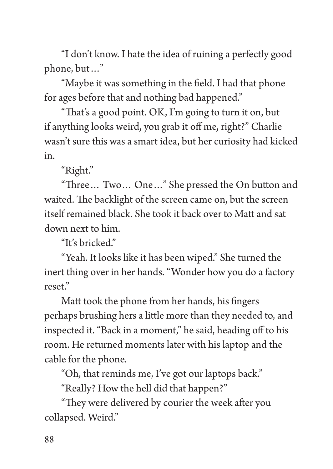"I don't know. I hate the idea of ruining a perfectly good phone, but…"

"Maybe it was something in the field. I had that phone for ages before that and nothing bad happened."

"That's a good point. OK, I'm going to turn it on, but if anything looks weird, you grab it off me, right?" Charlie wasn't sure this was a smart idea, but her curiosity had kicked in.

"Right."

"Three… Two… One…" She pressed the On button and waited. The backlight of the screen came on, but the screen itself remained black. She took it back over to Matt and sat down next to him.

"It's bricked."

"Yeah. It looks like it has been wiped." She turned the inert thing over in her hands. "Wonder how you do a factory reset."

Matt took the phone from her hands, his fingers perhaps brushing hers a little more than they needed to, and inspected it. "Back in a moment," he said, heading off to his room. He returned moments later with his laptop and the cable for the phone.

"Oh, that reminds me, I've got our laptops back."

"Really? How the hell did that happen?"

"They were delivered by courier the week after you collapsed. Weird."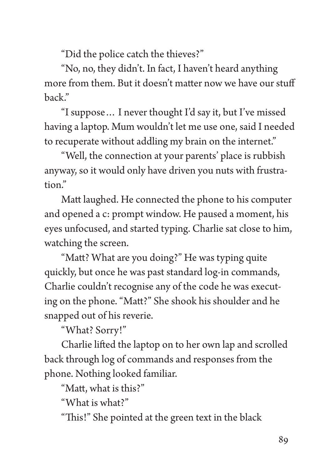"Did the police catch the thieves?"

"No, no, they didn't. In fact, I haven't heard anything more from them. But it doesn't matter now we have our stuff back."

"I suppose… I never thought I'd say it, but I've missed having a laptop. Mum wouldn't let me use one, said I needed to recuperate without addling my brain on the internet."

"Well, the connection at your parents' place is rubbish anyway, so it would only have driven you nuts with frustration."

Matt laughed. He connected the phone to his computer and opened a c: prompt window. He paused a moment, his eyes unfocused, and started typing. Charlie sat close to him, watching the screen.

"Matt? What are you doing?" He was typing quite quickly, but once he was past standard log-in commands, Charlie couldn't recognise any of the code he was executing on the phone. "Matt?" She shook his shoulder and he snapped out of his reverie.

"What? Sorry!"

Charlie lifted the laptop on to her own lap and scrolled back through log of commands and responses from the phone. Nothing looked familiar.

"Matt, what is this?"

"What is what?"

"This!" She pointed at the green text in the black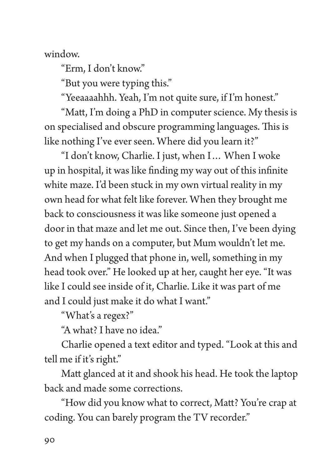window.

"Erm, I don't know."

"But you were typing this."

"Yeeaaaahhh. Yeah, I'm not quite sure, if I'm honest."

"Matt, I'm doing a PhD in computer science. My thesis is on specialised and obscure programming languages. This is like nothing I've ever seen. Where did you learn it?"

"I don't know, Charlie. I just, when I… When I woke up in hospital, it was like finding my way out of this infinite white maze. I'd been stuck in my own virtual reality in my own head for what felt like forever. When they brought me back to consciousness it was like someone just opened a door in that maze and let me out. Since then, I've been dying to get my hands on a computer, but Mum wouldn't let me. And when I plugged that phone in, well, something in my head took over." He looked up at her, caught her eye. "It was like I could see inside of it, Charlie. Like it was part of me and I could just make it do what I want."

"What's a regex?"

"A what? I have no idea."

Charlie opened a text editor and typed. "Look at this and tell me if it's right."

Matt glanced at it and shook his head. He took the laptop back and made some corrections.

"How did you know what to correct, Matt? You're crap at coding. You can barely program the TV recorder."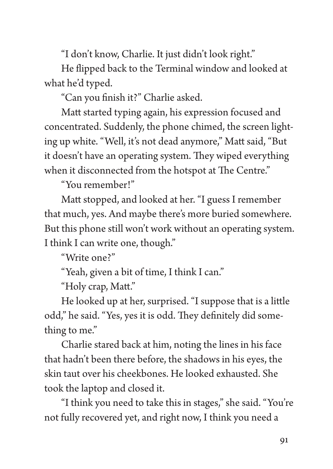"I don't know, Charlie. It just didn't look right."

He flipped back to the Terminal window and looked at what he'd typed.

"Can you finish it?" Charlie asked.

Matt started typing again, his expression focused and concentrated. Suddenly, the phone chimed, the screen lighting up white. "Well, it's not dead anymore," Matt said, "But it doesn't have an operating system. They wiped everything when it disconnected from the hotspot at The Centre."

"You remember!"

Matt stopped, and looked at her. "I guess I remember that much, yes. And maybe there's more buried somewhere. But this phone still won't work without an operating system. I think I can write one, though."

"Write one?"

"Yeah, given a bit of time, I think I can."

"Holy crap, Matt."

He looked up at her, surprised. "I suppose that is a little odd," he said. "Yes, yes it is odd. They definitely did something to me."

Charlie stared back at him, noting the lines in his face that hadn't been there before, the shadows in his eyes, the skin taut over his cheekbones. He looked exhausted. She took the laptop and closed it.

"I think you need to take this in stages," she said. "You're not fully recovered yet, and right now, I think you need a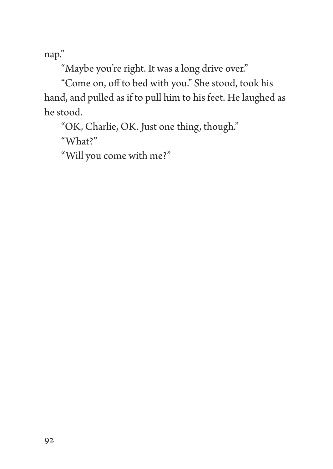nap."

"Maybe you're right. It was a long drive over."

"Come on, off to bed with you." She stood, took his hand, and pulled as if to pull him to his feet. He laughed as he stood.

"OK, Charlie, OK. Just one thing, though."

"What?"

"Will you come with me?"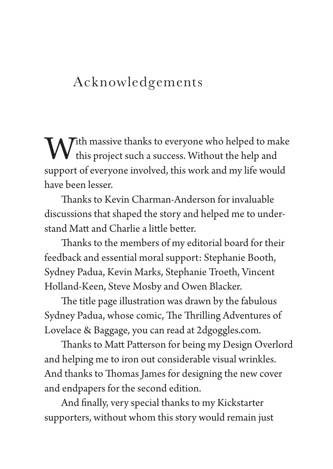# Acknowledgements

 $M^{th}$  massive thanks to everyone who helped to make  $\boldsymbol{V}$  this project such a success. Without the help and support of everyone involved, this work and my life would have been lesser.

Thanks to Kevin Charman-Anderson for invaluable discussions that shaped the story and helped me to understand Matt and Charlie a little better.

Thanks to the members of my editorial board for their feedback and essential moral support: Stephanie Booth, Sydney Padua, Kevin Marks, Stephanie Troeth, Vincent Holland-Keen, Steve Mosby and Owen Blacker.

The title page illustration was drawn by the fabulous Sydney Padua, whose comic, The Thrilling Adventures of Lovelace & Baggage, you can read at 2dgoggles.com.

Thanks to Matt Patterson for being my Design Overlord and helping me to iron out considerable visual wrinkles. And thanks to Thomas James for designing the new cover and endpapers for the second edition.

And finally, very special thanks to my Kickstarter supporters, without whom this story would remain just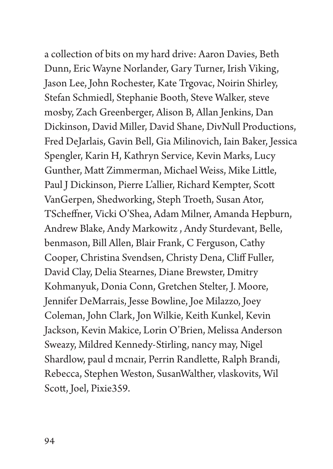a collection of bits on my hard drive: Aaron Davies, Beth Dunn, Eric Wayne Norlander, Gary Turner, Irish Viking, Jason Lee, John Rochester, Kate Trgovac, Noirin Shirley, Stefan Schmiedl, Stephanie Booth, Steve Walker, steve mosby, Zach Greenberger, Alison B, Allan Jenkins, Dan Dickinson, David Miller, David Shane, DivNull Productions, Fred DeJarlais, Gavin Bell, Gia Milinovich, Iain Baker, Jessica Spengler, Karin H, Kathryn Service, Kevin Marks, Lucy Gunther, Matt Zimmerman, Michael Weiss, Mike Little, Paul J Dickinson, Pierre L'allier, Richard Kempter, Scott VanGerpen, Shedworking, Steph Troeth, Susan Ator, TScheffner, Vicki O'Shea, Adam Milner, Amanda Hepburn, Andrew Blake, Andy Markowitz , Andy Sturdevant, Belle, benmason, Bill Allen, Blair Frank, C Ferguson, Cathy Cooper, Christina Svendsen, Christy Dena, Cliff Fuller, David Clay, Delia Stearnes, Diane Brewster, Dmitry Kohmanyuk, Donia Conn, Gretchen Stelter, J. Moore, Jennifer DeMarrais, Jesse Bowline, Joe Milazzo, Joey Coleman, John Clark, Jon Wilkie, Keith Kunkel, Kevin Jackson, Kevin Makice, Lorin O'Brien, Melissa Anderson Sweazy, Mildred Kennedy-Stirling, nancy may, Nigel Shardlow, paul d mcnair, Perrin Randlette, Ralph Brandi, Rebecca, Stephen Weston, SusanWalther, vlaskovits, Wil Scott, Joel, Pixie359.